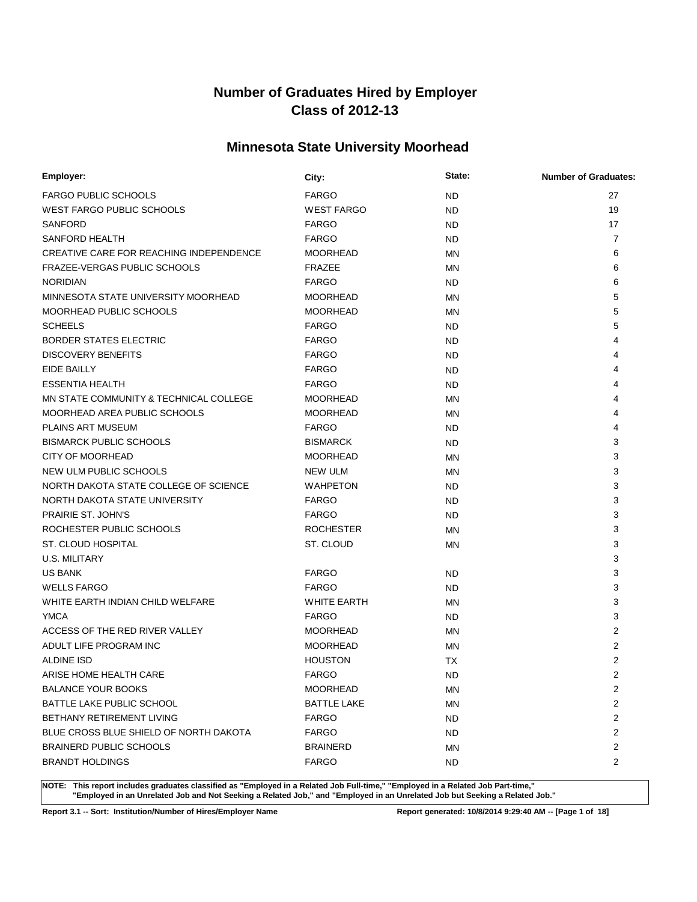# **Minnesota State University Moorhead**

| Employer:                               | City:              | State:    | <b>Number of Graduates:</b> |
|-----------------------------------------|--------------------|-----------|-----------------------------|
| <b>FARGO PUBLIC SCHOOLS</b>             | <b>FARGO</b>       | <b>ND</b> | 27                          |
| WEST FARGO PUBLIC SCHOOLS               | <b>WEST FARGO</b>  | <b>ND</b> | 19                          |
| <b>SANFORD</b>                          | <b>FARGO</b>       | <b>ND</b> | 17                          |
| SANFORD HEALTH                          | <b>FARGO</b>       | <b>ND</b> | $\overline{7}$              |
| CREATIVE CARE FOR REACHING INDEPENDENCE | <b>MOORHEAD</b>    | <b>MN</b> | 6                           |
| FRAZEE-VERGAS PUBLIC SCHOOLS            | <b>FRAZEE</b>      | <b>MN</b> | 6                           |
| <b>NORIDIAN</b>                         | <b>FARGO</b>       | <b>ND</b> | 6                           |
| MINNESOTA STATE UNIVERSITY MOORHEAD     | <b>MOORHEAD</b>    | <b>MN</b> | 5                           |
| MOORHEAD PUBLIC SCHOOLS                 | <b>MOORHEAD</b>    | <b>MN</b> | 5                           |
| <b>SCHEELS</b>                          | <b>FARGO</b>       | <b>ND</b> | 5                           |
| <b>BORDER STATES ELECTRIC</b>           | <b>FARGO</b>       | <b>ND</b> | 4                           |
| <b>DISCOVERY BENEFITS</b>               | <b>FARGO</b>       | <b>ND</b> | 4                           |
| EIDE BAILLY                             | <b>FARGO</b>       | <b>ND</b> | 4                           |
| <b>ESSENTIA HEALTH</b>                  | <b>FARGO</b>       | <b>ND</b> | 4                           |
| MN STATE COMMUNITY & TECHNICAL COLLEGE  | <b>MOORHEAD</b>    | <b>MN</b> | 4                           |
| MOORHEAD AREA PUBLIC SCHOOLS            | <b>MOORHEAD</b>    | <b>MN</b> | 4                           |
| PLAINS ART MUSEUM                       | <b>FARGO</b>       | <b>ND</b> | 4                           |
| <b>BISMARCK PUBLIC SCHOOLS</b>          | <b>BISMARCK</b>    | <b>ND</b> | 3                           |
| <b>CITY OF MOORHEAD</b>                 | <b>MOORHEAD</b>    | <b>MN</b> | 3                           |
| NEW ULM PUBLIC SCHOOLS                  | <b>NEW ULM</b>     | <b>MN</b> | 3                           |
| NORTH DAKOTA STATE COLLEGE OF SCIENCE   | <b>WAHPETON</b>    | <b>ND</b> | 3                           |
| NORTH DAKOTA STATE UNIVERSITY           | <b>FARGO</b>       | <b>ND</b> | 3                           |
| <b>PRAIRIE ST. JOHN'S</b>               | <b>FARGO</b>       | <b>ND</b> | 3                           |
| ROCHESTER PUBLIC SCHOOLS                | <b>ROCHESTER</b>   | <b>MN</b> | 3                           |
| ST. CLOUD HOSPITAL                      | ST. CLOUD          | MN        | 3                           |
| U.S. MILITARY                           |                    |           | 3                           |
| <b>US BANK</b>                          | <b>FARGO</b>       | <b>ND</b> | 3                           |
| <b>WELLS FARGO</b>                      | <b>FARGO</b>       | <b>ND</b> | 3                           |
| WHITE EARTH INDIAN CHILD WELFARE        | <b>WHITE EARTH</b> | <b>MN</b> | 3                           |
| <b>YMCA</b>                             | <b>FARGO</b>       | <b>ND</b> | 3                           |
| ACCESS OF THE RED RIVER VALLEY          | <b>MOORHEAD</b>    | <b>MN</b> | 2                           |
| ADULT LIFE PROGRAM INC                  | <b>MOORHEAD</b>    | <b>MN</b> | $\overline{2}$              |
| <b>ALDINE ISD</b>                       | <b>HOUSTON</b>     | <b>TX</b> | $\overline{2}$              |
| ARISE HOME HEALTH CARE                  | <b>FARGO</b>       | <b>ND</b> | $\overline{2}$              |
| <b>BALANCE YOUR BOOKS</b>               | <b>MOORHEAD</b>    | ΜN        | 2                           |
| BATTLE LAKE PUBLIC SCHOOL               | <b>BATTLE LAKE</b> | <b>MN</b> | 2                           |
| BETHANY RETIREMENT LIVING               | <b>FARGO</b>       | <b>ND</b> | 2                           |
| BLUE CROSS BLUE SHIELD OF NORTH DAKOTA  | <b>FARGO</b>       | <b>ND</b> | 2                           |
| <b>BRAINERD PUBLIC SCHOOLS</b>          | <b>BRAINERD</b>    | ΜN        | 2                           |
| <b>BRANDT HOLDINGS</b>                  | <b>FARGO</b>       | <b>ND</b> | $\overline{2}$              |

**NOTE: This report includes graduates classified as "Employed in a Related Job Full-time," "Employed in a Related Job Part-time," "Employed in an Unrelated Job and Not Seeking a Related Job," and "Employed in an Unrelated Job but Seeking a Related Job."**

**Report 3.1 -- Sort: Institution/Number of Hires/Employer Name Report generated: 10/8/2014 9:29:40 AM -- [Page 1 of 18]**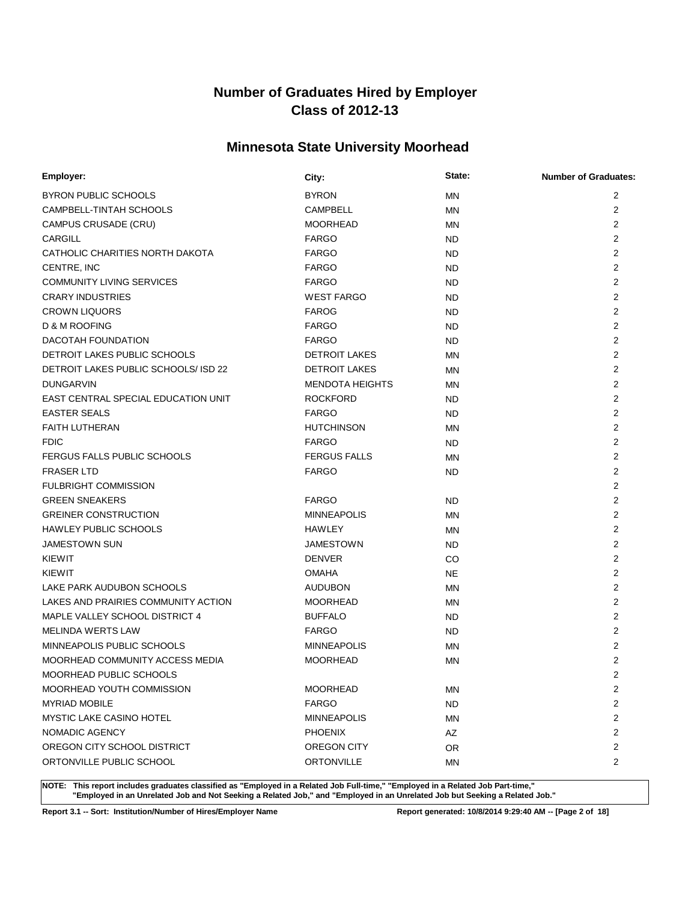# **Minnesota State University Moorhead**

| Employer:                                  | City:                  | State:    | <b>Number of Graduates:</b> |
|--------------------------------------------|------------------------|-----------|-----------------------------|
| BYRON PUBLIC SCHOOLS                       | <b>BYRON</b>           | <b>MN</b> | 2                           |
| CAMPBELL-TINTAH SCHOOLS                    | <b>CAMPBELL</b>        | <b>MN</b> | $\overline{2}$              |
| CAMPUS CRUSADE (CRU)                       | <b>MOORHEAD</b>        | <b>MN</b> | 2                           |
| <b>CARGILL</b>                             | <b>FARGO</b>           | <b>ND</b> | $\overline{2}$              |
| CATHOLIC CHARITIES NORTH DAKOTA            | <b>FARGO</b>           | <b>ND</b> | 2                           |
| CENTRE, INC                                | <b>FARGO</b>           | <b>ND</b> | 2                           |
| <b>COMMUNITY LIVING SERVICES</b>           | <b>FARGO</b>           | <b>ND</b> | 2                           |
| <b>CRARY INDUSTRIES</b>                    | <b>WEST FARGO</b>      | <b>ND</b> | 2                           |
| <b>CROWN LIQUORS</b>                       | <b>FAROG</b>           | <b>ND</b> | $\overline{2}$              |
| D & M ROOFING                              | <b>FARGO</b>           | <b>ND</b> | $\overline{2}$              |
| DACOTAH FOUNDATION                         | <b>FARGO</b>           | <b>ND</b> | 2                           |
| DETROIT LAKES PUBLIC SCHOOLS               | <b>DETROIT LAKES</b>   | MN        | $\overline{2}$              |
| DETROIT LAKES PUBLIC SCHOOLS/ ISD 22       | <b>DETROIT LAKES</b>   | <b>MN</b> | $\overline{2}$              |
| <b>DUNGARVIN</b>                           | <b>MENDOTA HEIGHTS</b> | MN        | $\overline{2}$              |
| <b>EAST CENTRAL SPECIAL EDUCATION UNIT</b> | <b>ROCKFORD</b>        | <b>ND</b> | $\overline{2}$              |
| <b>EASTER SEALS</b>                        | <b>FARGO</b>           | <b>ND</b> | 2                           |
| <b>FAITH LUTHERAN</b>                      | <b>HUTCHINSON</b>      | MN        | $\overline{2}$              |
| <b>FDIC</b>                                | <b>FARGO</b>           | <b>ND</b> | 2                           |
| FERGUS FALLS PUBLIC SCHOOLS                | <b>FERGUS FALLS</b>    | <b>MN</b> | $\overline{2}$              |
| <b>FRASER LTD</b>                          | <b>FARGO</b>           | <b>ND</b> | 2                           |
| <b>FULBRIGHT COMMISSION</b>                |                        |           | $\overline{2}$              |
| <b>GREEN SNEAKERS</b>                      | <b>FARGO</b>           | <b>ND</b> | $\overline{2}$              |
| <b>GREINER CONSTRUCTION</b>                | <b>MINNEAPOLIS</b>     | <b>MN</b> | 2                           |
| <b>HAWLEY PUBLIC SCHOOLS</b>               | <b>HAWLEY</b>          | <b>MN</b> | $\overline{2}$              |
| <b>JAMESTOWN SUN</b>                       | <b>JAMESTOWN</b>       | <b>ND</b> | $\overline{2}$              |
| KIEWIT                                     | <b>DENVER</b>          | CO.       | 2                           |
| KIEWIT                                     | <b>OMAHA</b>           | <b>NE</b> | $\overline{2}$              |
| LAKE PARK AUDUBON SCHOOLS                  | <b>AUDUBON</b>         | <b>MN</b> | $\overline{2}$              |
| LAKES AND PRAIRIES COMMUNITY ACTION        | <b>MOORHEAD</b>        | <b>MN</b> | $\overline{2}$              |
| MAPLE VALLEY SCHOOL DISTRICT 4             | <b>BUFFALO</b>         | <b>ND</b> | 2                           |
| <b>MELINDA WERTS LAW</b>                   | <b>FARGO</b>           | <b>ND</b> | 2                           |
| MINNEAPOLIS PUBLIC SCHOOLS                 | <b>MINNEAPOLIS</b>     | <b>MN</b> | 2                           |
| MOORHEAD COMMUNITY ACCESS MEDIA            | <b>MOORHEAD</b>        | <b>MN</b> | $\overline{2}$              |
| MOORHEAD PUBLIC SCHOOLS                    |                        |           | $\overline{2}$              |
| MOORHEAD YOUTH COMMISSION                  | <b>MOORHEAD</b>        | ΜN        | 2                           |
| <b>MYRIAD MOBILE</b>                       | <b>FARGO</b>           | <b>ND</b> | 2                           |
| <b>MYSTIC LAKE CASINO HOTEL</b>            | <b>MINNEAPOLIS</b>     | ΜN        | 2                           |
| NOMADIC AGENCY                             | <b>PHOENIX</b>         | AZ        | 2                           |
| OREGON CITY SCHOOL DISTRICT                | OREGON CITY            | OR.       | $\overline{c}$              |
| ORTONVILLE PUBLIC SCHOOL                   | <b>ORTONVILLE</b>      | ΜN        | 2                           |

**NOTE: This report includes graduates classified as "Employed in a Related Job Full-time," "Employed in a Related Job Part-time," "Employed in an Unrelated Job and Not Seeking a Related Job," and "Employed in an Unrelated Job but Seeking a Related Job."**

**Report 3.1 -- Sort: Institution/Number of Hires/Employer Name Report generated: 10/8/2014 9:29:40 AM -- [Page 2 of 18]**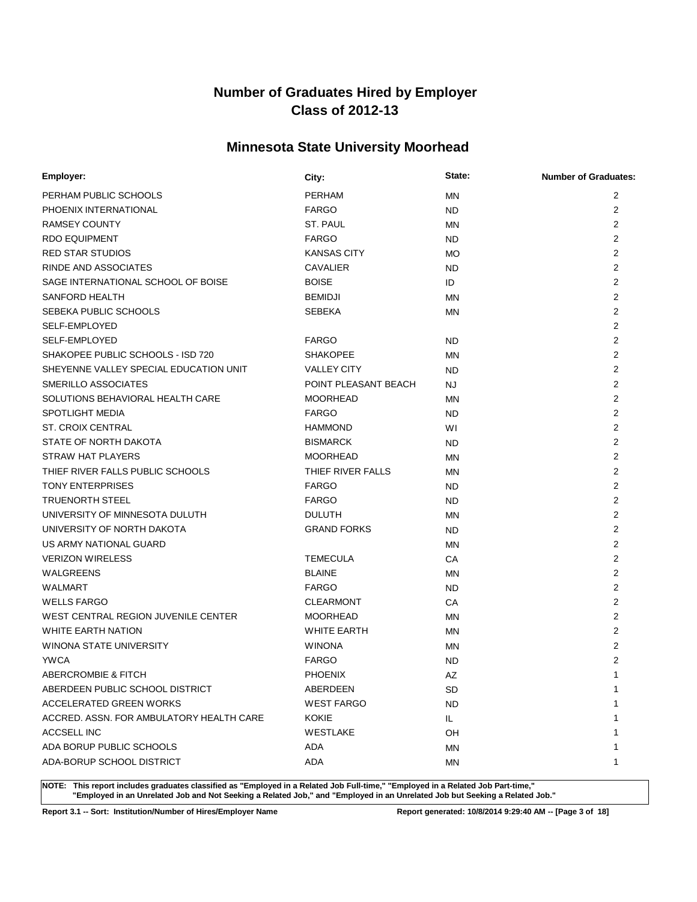# **Minnesota State University Moorhead**

| <b>PERHAM</b><br>2<br>PERHAM PUBLIC SCHOOLS<br><b>MN</b><br>PHOENIX INTERNATIONAL<br><b>FARGO</b><br>2<br><b>ND</b><br>2<br><b>RAMSEY COUNTY</b><br>ST. PAUL<br><b>MN</b><br>2<br><b>RDO EQUIPMENT</b><br><b>FARGO</b><br>ND.<br>2<br><b>RED STAR STUDIOS</b><br><b>KANSAS CITY</b><br><b>MO</b><br>$\overline{2}$<br>RINDE AND ASSOCIATES<br><b>CAVALIER</b><br><b>ND</b><br>SAGE INTERNATIONAL SCHOOL OF BOISE<br>$\overline{2}$<br><b>BOISE</b><br>ID<br>$\overline{2}$<br>SANFORD HEALTH<br><b>BEMIDJI</b><br><b>MN</b><br>2<br>SEBEKA PUBLIC SCHOOLS<br><b>SEBEKA</b><br><b>MN</b><br>$\overline{2}$<br>SELF-EMPLOYED<br>2<br>SELF-EMPLOYED<br><b>FARGO</b><br><b>ND</b><br>2<br>SHAKOPEE PUBLIC SCHOOLS - ISD 720<br><b>SHAKOPEE</b><br><b>MN</b><br>2<br>SHEYENNE VALLEY SPECIAL EDUCATION UNIT<br><b>VALLEY CITY</b><br><b>ND</b><br>2<br>SMERILLO ASSOCIATES<br>POINT PLEASANT BEACH<br><b>NJ</b><br>2<br>SOLUTIONS BEHAVIORAL HEALTH CARE<br><b>MOORHEAD</b><br><b>MN</b><br>$\overline{2}$<br>SPOTLIGHT MEDIA<br><b>FARGO</b><br>ND.<br>2<br><b>ST. CROIX CENTRAL</b><br><b>HAMMOND</b><br>WI<br>2<br>STATE OF NORTH DAKOTA<br><b>BISMARCK</b><br><b>ND</b><br>2<br><b>STRAW HAT PLAYERS</b><br><b>MOORHEAD</b><br><b>MN</b><br>THIEF RIVER FALLS PUBLIC SCHOOLS<br>$\overline{2}$<br>THIEF RIVER FALLS<br>MN<br>2<br><b>TONY ENTERPRISES</b><br><b>FARGO</b><br>ND.<br>$\overline{2}$<br><b>TRUENORTH STEEL</b><br><b>FARGO</b><br>ND.<br>$\overline{2}$<br>UNIVERSITY OF MINNESOTA DULUTH<br><b>DULUTH</b><br><b>MN</b><br>$\overline{2}$<br>UNIVERSITY OF NORTH DAKOTA<br><b>GRAND FORKS</b><br>ND.<br>2<br>US ARMY NATIONAL GUARD<br><b>MN</b><br>2<br><b>VERIZON WIRELESS</b><br><b>TEMECULA</b><br>CA<br>2<br><b>WALGREENS</b><br><b>BLAINE</b><br><b>MN</b><br>$\overline{2}$<br><b>WALMART</b><br><b>FARGO</b><br>ND.<br>2<br><b>WELLS FARGO</b><br><b>CLEARMONT</b><br>CA<br>$\overline{2}$<br>WEST CENTRAL REGION JUVENILE CENTER<br><b>MOORHEAD</b><br>MN<br>$\overline{2}$<br>WHITE EARTH NATION<br><b>WHITE EARTH</b><br>MN<br>$\overline{2}$<br>WINONA STATE UNIVERSITY<br><b>WINONA</b><br>MN<br>$\overline{2}$<br><b>YWCA</b><br><b>FARGO</b><br><b>ND</b><br><b>PHOENIX</b><br>1<br>ABERCROMBIE & FITCH<br>AZ<br>ABERDEEN PUBLIC SCHOOL DISTRICT<br>ABERDEEN<br>SD<br>1<br>ACCELERATED GREEN WORKS<br><b>WEST FARGO</b><br>ND.<br>ACCRED. ASSN. FOR AMBULATORY HEALTH CARE<br>KOKIE<br>IL.<br>ACCSELL INC<br>WESTLAKE<br>OH<br>ADA BORUP PUBLIC SCHOOLS<br>ADA<br>ΜN<br>ADA-BORUP SCHOOL DISTRICT<br>ADA<br>ΜN<br>1 | Employer: | City: | State: | <b>Number of Graduates:</b> |
|-------------------------------------------------------------------------------------------------------------------------------------------------------------------------------------------------------------------------------------------------------------------------------------------------------------------------------------------------------------------------------------------------------------------------------------------------------------------------------------------------------------------------------------------------------------------------------------------------------------------------------------------------------------------------------------------------------------------------------------------------------------------------------------------------------------------------------------------------------------------------------------------------------------------------------------------------------------------------------------------------------------------------------------------------------------------------------------------------------------------------------------------------------------------------------------------------------------------------------------------------------------------------------------------------------------------------------------------------------------------------------------------------------------------------------------------------------------------------------------------------------------------------------------------------------------------------------------------------------------------------------------------------------------------------------------------------------------------------------------------------------------------------------------------------------------------------------------------------------------------------------------------------------------------------------------------------------------------------------------------------------------------------------------------------------------------------------------------------------------------------------------------------------------------------------------------------------------------------------------------------------------------------------------------------------------------------------------------------------------------------------------------------------------------------------------------------------------------------------------------------------------------------------------------------|-----------|-------|--------|-----------------------------|
|                                                                                                                                                                                                                                                                                                                                                                                                                                                                                                                                                                                                                                                                                                                                                                                                                                                                                                                                                                                                                                                                                                                                                                                                                                                                                                                                                                                                                                                                                                                                                                                                                                                                                                                                                                                                                                                                                                                                                                                                                                                                                                                                                                                                                                                                                                                                                                                                                                                                                                                                                 |           |       |        |                             |
|                                                                                                                                                                                                                                                                                                                                                                                                                                                                                                                                                                                                                                                                                                                                                                                                                                                                                                                                                                                                                                                                                                                                                                                                                                                                                                                                                                                                                                                                                                                                                                                                                                                                                                                                                                                                                                                                                                                                                                                                                                                                                                                                                                                                                                                                                                                                                                                                                                                                                                                                                 |           |       |        |                             |
|                                                                                                                                                                                                                                                                                                                                                                                                                                                                                                                                                                                                                                                                                                                                                                                                                                                                                                                                                                                                                                                                                                                                                                                                                                                                                                                                                                                                                                                                                                                                                                                                                                                                                                                                                                                                                                                                                                                                                                                                                                                                                                                                                                                                                                                                                                                                                                                                                                                                                                                                                 |           |       |        |                             |
|                                                                                                                                                                                                                                                                                                                                                                                                                                                                                                                                                                                                                                                                                                                                                                                                                                                                                                                                                                                                                                                                                                                                                                                                                                                                                                                                                                                                                                                                                                                                                                                                                                                                                                                                                                                                                                                                                                                                                                                                                                                                                                                                                                                                                                                                                                                                                                                                                                                                                                                                                 |           |       |        |                             |
|                                                                                                                                                                                                                                                                                                                                                                                                                                                                                                                                                                                                                                                                                                                                                                                                                                                                                                                                                                                                                                                                                                                                                                                                                                                                                                                                                                                                                                                                                                                                                                                                                                                                                                                                                                                                                                                                                                                                                                                                                                                                                                                                                                                                                                                                                                                                                                                                                                                                                                                                                 |           |       |        |                             |
|                                                                                                                                                                                                                                                                                                                                                                                                                                                                                                                                                                                                                                                                                                                                                                                                                                                                                                                                                                                                                                                                                                                                                                                                                                                                                                                                                                                                                                                                                                                                                                                                                                                                                                                                                                                                                                                                                                                                                                                                                                                                                                                                                                                                                                                                                                                                                                                                                                                                                                                                                 |           |       |        |                             |
|                                                                                                                                                                                                                                                                                                                                                                                                                                                                                                                                                                                                                                                                                                                                                                                                                                                                                                                                                                                                                                                                                                                                                                                                                                                                                                                                                                                                                                                                                                                                                                                                                                                                                                                                                                                                                                                                                                                                                                                                                                                                                                                                                                                                                                                                                                                                                                                                                                                                                                                                                 |           |       |        |                             |
|                                                                                                                                                                                                                                                                                                                                                                                                                                                                                                                                                                                                                                                                                                                                                                                                                                                                                                                                                                                                                                                                                                                                                                                                                                                                                                                                                                                                                                                                                                                                                                                                                                                                                                                                                                                                                                                                                                                                                                                                                                                                                                                                                                                                                                                                                                                                                                                                                                                                                                                                                 |           |       |        |                             |
|                                                                                                                                                                                                                                                                                                                                                                                                                                                                                                                                                                                                                                                                                                                                                                                                                                                                                                                                                                                                                                                                                                                                                                                                                                                                                                                                                                                                                                                                                                                                                                                                                                                                                                                                                                                                                                                                                                                                                                                                                                                                                                                                                                                                                                                                                                                                                                                                                                                                                                                                                 |           |       |        |                             |
|                                                                                                                                                                                                                                                                                                                                                                                                                                                                                                                                                                                                                                                                                                                                                                                                                                                                                                                                                                                                                                                                                                                                                                                                                                                                                                                                                                                                                                                                                                                                                                                                                                                                                                                                                                                                                                                                                                                                                                                                                                                                                                                                                                                                                                                                                                                                                                                                                                                                                                                                                 |           |       |        |                             |
|                                                                                                                                                                                                                                                                                                                                                                                                                                                                                                                                                                                                                                                                                                                                                                                                                                                                                                                                                                                                                                                                                                                                                                                                                                                                                                                                                                                                                                                                                                                                                                                                                                                                                                                                                                                                                                                                                                                                                                                                                                                                                                                                                                                                                                                                                                                                                                                                                                                                                                                                                 |           |       |        |                             |
|                                                                                                                                                                                                                                                                                                                                                                                                                                                                                                                                                                                                                                                                                                                                                                                                                                                                                                                                                                                                                                                                                                                                                                                                                                                                                                                                                                                                                                                                                                                                                                                                                                                                                                                                                                                                                                                                                                                                                                                                                                                                                                                                                                                                                                                                                                                                                                                                                                                                                                                                                 |           |       |        |                             |
|                                                                                                                                                                                                                                                                                                                                                                                                                                                                                                                                                                                                                                                                                                                                                                                                                                                                                                                                                                                                                                                                                                                                                                                                                                                                                                                                                                                                                                                                                                                                                                                                                                                                                                                                                                                                                                                                                                                                                                                                                                                                                                                                                                                                                                                                                                                                                                                                                                                                                                                                                 |           |       |        |                             |
|                                                                                                                                                                                                                                                                                                                                                                                                                                                                                                                                                                                                                                                                                                                                                                                                                                                                                                                                                                                                                                                                                                                                                                                                                                                                                                                                                                                                                                                                                                                                                                                                                                                                                                                                                                                                                                                                                                                                                                                                                                                                                                                                                                                                                                                                                                                                                                                                                                                                                                                                                 |           |       |        |                             |
|                                                                                                                                                                                                                                                                                                                                                                                                                                                                                                                                                                                                                                                                                                                                                                                                                                                                                                                                                                                                                                                                                                                                                                                                                                                                                                                                                                                                                                                                                                                                                                                                                                                                                                                                                                                                                                                                                                                                                                                                                                                                                                                                                                                                                                                                                                                                                                                                                                                                                                                                                 |           |       |        |                             |
|                                                                                                                                                                                                                                                                                                                                                                                                                                                                                                                                                                                                                                                                                                                                                                                                                                                                                                                                                                                                                                                                                                                                                                                                                                                                                                                                                                                                                                                                                                                                                                                                                                                                                                                                                                                                                                                                                                                                                                                                                                                                                                                                                                                                                                                                                                                                                                                                                                                                                                                                                 |           |       |        |                             |
|                                                                                                                                                                                                                                                                                                                                                                                                                                                                                                                                                                                                                                                                                                                                                                                                                                                                                                                                                                                                                                                                                                                                                                                                                                                                                                                                                                                                                                                                                                                                                                                                                                                                                                                                                                                                                                                                                                                                                                                                                                                                                                                                                                                                                                                                                                                                                                                                                                                                                                                                                 |           |       |        |                             |
|                                                                                                                                                                                                                                                                                                                                                                                                                                                                                                                                                                                                                                                                                                                                                                                                                                                                                                                                                                                                                                                                                                                                                                                                                                                                                                                                                                                                                                                                                                                                                                                                                                                                                                                                                                                                                                                                                                                                                                                                                                                                                                                                                                                                                                                                                                                                                                                                                                                                                                                                                 |           |       |        |                             |
|                                                                                                                                                                                                                                                                                                                                                                                                                                                                                                                                                                                                                                                                                                                                                                                                                                                                                                                                                                                                                                                                                                                                                                                                                                                                                                                                                                                                                                                                                                                                                                                                                                                                                                                                                                                                                                                                                                                                                                                                                                                                                                                                                                                                                                                                                                                                                                                                                                                                                                                                                 |           |       |        |                             |
|                                                                                                                                                                                                                                                                                                                                                                                                                                                                                                                                                                                                                                                                                                                                                                                                                                                                                                                                                                                                                                                                                                                                                                                                                                                                                                                                                                                                                                                                                                                                                                                                                                                                                                                                                                                                                                                                                                                                                                                                                                                                                                                                                                                                                                                                                                                                                                                                                                                                                                                                                 |           |       |        |                             |
|                                                                                                                                                                                                                                                                                                                                                                                                                                                                                                                                                                                                                                                                                                                                                                                                                                                                                                                                                                                                                                                                                                                                                                                                                                                                                                                                                                                                                                                                                                                                                                                                                                                                                                                                                                                                                                                                                                                                                                                                                                                                                                                                                                                                                                                                                                                                                                                                                                                                                                                                                 |           |       |        |                             |
|                                                                                                                                                                                                                                                                                                                                                                                                                                                                                                                                                                                                                                                                                                                                                                                                                                                                                                                                                                                                                                                                                                                                                                                                                                                                                                                                                                                                                                                                                                                                                                                                                                                                                                                                                                                                                                                                                                                                                                                                                                                                                                                                                                                                                                                                                                                                                                                                                                                                                                                                                 |           |       |        |                             |
|                                                                                                                                                                                                                                                                                                                                                                                                                                                                                                                                                                                                                                                                                                                                                                                                                                                                                                                                                                                                                                                                                                                                                                                                                                                                                                                                                                                                                                                                                                                                                                                                                                                                                                                                                                                                                                                                                                                                                                                                                                                                                                                                                                                                                                                                                                                                                                                                                                                                                                                                                 |           |       |        |                             |
|                                                                                                                                                                                                                                                                                                                                                                                                                                                                                                                                                                                                                                                                                                                                                                                                                                                                                                                                                                                                                                                                                                                                                                                                                                                                                                                                                                                                                                                                                                                                                                                                                                                                                                                                                                                                                                                                                                                                                                                                                                                                                                                                                                                                                                                                                                                                                                                                                                                                                                                                                 |           |       |        |                             |
|                                                                                                                                                                                                                                                                                                                                                                                                                                                                                                                                                                                                                                                                                                                                                                                                                                                                                                                                                                                                                                                                                                                                                                                                                                                                                                                                                                                                                                                                                                                                                                                                                                                                                                                                                                                                                                                                                                                                                                                                                                                                                                                                                                                                                                                                                                                                                                                                                                                                                                                                                 |           |       |        |                             |
|                                                                                                                                                                                                                                                                                                                                                                                                                                                                                                                                                                                                                                                                                                                                                                                                                                                                                                                                                                                                                                                                                                                                                                                                                                                                                                                                                                                                                                                                                                                                                                                                                                                                                                                                                                                                                                                                                                                                                                                                                                                                                                                                                                                                                                                                                                                                                                                                                                                                                                                                                 |           |       |        |                             |
|                                                                                                                                                                                                                                                                                                                                                                                                                                                                                                                                                                                                                                                                                                                                                                                                                                                                                                                                                                                                                                                                                                                                                                                                                                                                                                                                                                                                                                                                                                                                                                                                                                                                                                                                                                                                                                                                                                                                                                                                                                                                                                                                                                                                                                                                                                                                                                                                                                                                                                                                                 |           |       |        |                             |
|                                                                                                                                                                                                                                                                                                                                                                                                                                                                                                                                                                                                                                                                                                                                                                                                                                                                                                                                                                                                                                                                                                                                                                                                                                                                                                                                                                                                                                                                                                                                                                                                                                                                                                                                                                                                                                                                                                                                                                                                                                                                                                                                                                                                                                                                                                                                                                                                                                                                                                                                                 |           |       |        |                             |
|                                                                                                                                                                                                                                                                                                                                                                                                                                                                                                                                                                                                                                                                                                                                                                                                                                                                                                                                                                                                                                                                                                                                                                                                                                                                                                                                                                                                                                                                                                                                                                                                                                                                                                                                                                                                                                                                                                                                                                                                                                                                                                                                                                                                                                                                                                                                                                                                                                                                                                                                                 |           |       |        |                             |
|                                                                                                                                                                                                                                                                                                                                                                                                                                                                                                                                                                                                                                                                                                                                                                                                                                                                                                                                                                                                                                                                                                                                                                                                                                                                                                                                                                                                                                                                                                                                                                                                                                                                                                                                                                                                                                                                                                                                                                                                                                                                                                                                                                                                                                                                                                                                                                                                                                                                                                                                                 |           |       |        |                             |
|                                                                                                                                                                                                                                                                                                                                                                                                                                                                                                                                                                                                                                                                                                                                                                                                                                                                                                                                                                                                                                                                                                                                                                                                                                                                                                                                                                                                                                                                                                                                                                                                                                                                                                                                                                                                                                                                                                                                                                                                                                                                                                                                                                                                                                                                                                                                                                                                                                                                                                                                                 |           |       |        |                             |
|                                                                                                                                                                                                                                                                                                                                                                                                                                                                                                                                                                                                                                                                                                                                                                                                                                                                                                                                                                                                                                                                                                                                                                                                                                                                                                                                                                                                                                                                                                                                                                                                                                                                                                                                                                                                                                                                                                                                                                                                                                                                                                                                                                                                                                                                                                                                                                                                                                                                                                                                                 |           |       |        |                             |
|                                                                                                                                                                                                                                                                                                                                                                                                                                                                                                                                                                                                                                                                                                                                                                                                                                                                                                                                                                                                                                                                                                                                                                                                                                                                                                                                                                                                                                                                                                                                                                                                                                                                                                                                                                                                                                                                                                                                                                                                                                                                                                                                                                                                                                                                                                                                                                                                                                                                                                                                                 |           |       |        |                             |
|                                                                                                                                                                                                                                                                                                                                                                                                                                                                                                                                                                                                                                                                                                                                                                                                                                                                                                                                                                                                                                                                                                                                                                                                                                                                                                                                                                                                                                                                                                                                                                                                                                                                                                                                                                                                                                                                                                                                                                                                                                                                                                                                                                                                                                                                                                                                                                                                                                                                                                                                                 |           |       |        |                             |
|                                                                                                                                                                                                                                                                                                                                                                                                                                                                                                                                                                                                                                                                                                                                                                                                                                                                                                                                                                                                                                                                                                                                                                                                                                                                                                                                                                                                                                                                                                                                                                                                                                                                                                                                                                                                                                                                                                                                                                                                                                                                                                                                                                                                                                                                                                                                                                                                                                                                                                                                                 |           |       |        |                             |
|                                                                                                                                                                                                                                                                                                                                                                                                                                                                                                                                                                                                                                                                                                                                                                                                                                                                                                                                                                                                                                                                                                                                                                                                                                                                                                                                                                                                                                                                                                                                                                                                                                                                                                                                                                                                                                                                                                                                                                                                                                                                                                                                                                                                                                                                                                                                                                                                                                                                                                                                                 |           |       |        |                             |
|                                                                                                                                                                                                                                                                                                                                                                                                                                                                                                                                                                                                                                                                                                                                                                                                                                                                                                                                                                                                                                                                                                                                                                                                                                                                                                                                                                                                                                                                                                                                                                                                                                                                                                                                                                                                                                                                                                                                                                                                                                                                                                                                                                                                                                                                                                                                                                                                                                                                                                                                                 |           |       |        |                             |
|                                                                                                                                                                                                                                                                                                                                                                                                                                                                                                                                                                                                                                                                                                                                                                                                                                                                                                                                                                                                                                                                                                                                                                                                                                                                                                                                                                                                                                                                                                                                                                                                                                                                                                                                                                                                                                                                                                                                                                                                                                                                                                                                                                                                                                                                                                                                                                                                                                                                                                                                                 |           |       |        |                             |
|                                                                                                                                                                                                                                                                                                                                                                                                                                                                                                                                                                                                                                                                                                                                                                                                                                                                                                                                                                                                                                                                                                                                                                                                                                                                                                                                                                                                                                                                                                                                                                                                                                                                                                                                                                                                                                                                                                                                                                                                                                                                                                                                                                                                                                                                                                                                                                                                                                                                                                                                                 |           |       |        |                             |
|                                                                                                                                                                                                                                                                                                                                                                                                                                                                                                                                                                                                                                                                                                                                                                                                                                                                                                                                                                                                                                                                                                                                                                                                                                                                                                                                                                                                                                                                                                                                                                                                                                                                                                                                                                                                                                                                                                                                                                                                                                                                                                                                                                                                                                                                                                                                                                                                                                                                                                                                                 |           |       |        |                             |

**NOTE: This report includes graduates classified as "Employed in a Related Job Full-time," "Employed in a Related Job Part-time," "Employed in an Unrelated Job and Not Seeking a Related Job," and "Employed in an Unrelated Job but Seeking a Related Job."**

**Report 3.1 -- Sort: Institution/Number of Hires/Employer Name Report generated: 10/8/2014 9:29:40 AM -- [Page 3 of 18]**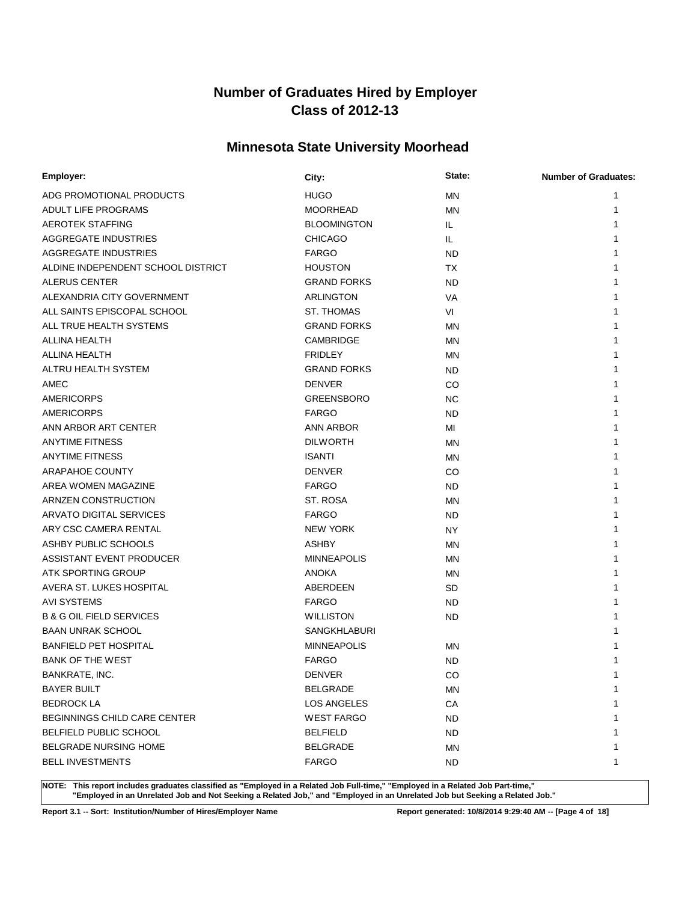# **Minnesota State University Moorhead**

| Employer:                           | City:               | State:    | <b>Number of Graduates:</b> |
|-------------------------------------|---------------------|-----------|-----------------------------|
| ADG PROMOTIONAL PRODUCTS            | <b>HUGO</b>         | <b>MN</b> |                             |
| <b>ADULT LIFE PROGRAMS</b>          | <b>MOORHEAD</b>     | MN        |                             |
| <b>AEROTEK STAFFING</b>             | <b>BLOOMINGTON</b>  | IL.       |                             |
| AGGREGATE INDUSTRIES                | <b>CHICAGO</b>      | IL.       |                             |
| AGGREGATE INDUSTRIES                | <b>FARGO</b>        | <b>ND</b> |                             |
| ALDINE INDEPENDENT SCHOOL DISTRICT  | <b>HOUSTON</b>      | TX        |                             |
| <b>ALERUS CENTER</b>                | <b>GRAND FORKS</b>  | <b>ND</b> |                             |
| ALEXANDRIA CITY GOVERNMENT          | ARLINGTON           | VA        |                             |
| ALL SAINTS EPISCOPAL SCHOOL         | <b>ST. THOMAS</b>   | VI        |                             |
| ALL TRUE HEALTH SYSTEMS             | <b>GRAND FORKS</b>  | MN        |                             |
| ALLINA HEALTH                       | CAMBRIDGE           | <b>MN</b> |                             |
| <b>ALLINA HEALTH</b>                | <b>FRIDLEY</b>      | MN        |                             |
| ALTRU HEALTH SYSTEM                 | <b>GRAND FORKS</b>  | <b>ND</b> |                             |
| AMEC                                | <b>DENVER</b>       | CO        |                             |
| <b>AMERICORPS</b>                   | <b>GREENSBORO</b>   | <b>NC</b> |                             |
| AMERICORPS                          | <b>FARGO</b>        | <b>ND</b> |                             |
| ANN ARBOR ART CENTER                | ANN ARBOR           | MI        |                             |
| <b>ANYTIME FITNESS</b>              | <b>DILWORTH</b>     | MN        |                             |
| <b>ANYTIME FITNESS</b>              | <b>ISANTI</b>       | MN        |                             |
| <b>ARAPAHOE COUNTY</b>              | <b>DENVER</b>       | CO        |                             |
| AREA WOMEN MAGAZINE                 | <b>FARGO</b>        | <b>ND</b> |                             |
| ARNZEN CONSTRUCTION                 | ST. ROSA            | MN        |                             |
| ARVATO DIGITAL SERVICES             | <b>FARGO</b>        | <b>ND</b> |                             |
| ARY CSC CAMERA RENTAL               | <b>NEW YORK</b>     | <b>NY</b> |                             |
| ASHBY PUBLIC SCHOOLS                | <b>ASHBY</b>        | <b>MN</b> |                             |
| ASSISTANT EVENT PRODUCER            | <b>MINNEAPOLIS</b>  | <b>MN</b> |                             |
| ATK SPORTING GROUP                  | <b>ANOKA</b>        | MN        |                             |
| AVERA ST. LUKES HOSPITAL            | ABERDEEN            | SD        |                             |
| <b>AVI SYSTEMS</b>                  | <b>FARGO</b>        | <b>ND</b> |                             |
| <b>B &amp; G OIL FIELD SERVICES</b> | <b>WILLISTON</b>    | <b>ND</b> |                             |
| <b>BAAN UNRAK SCHOOL</b>            | <b>SANGKHLABURI</b> |           |                             |
| <b>BANFIELD PET HOSPITAL</b>        | <b>MINNEAPOLIS</b>  | <b>MN</b> |                             |
| <b>BANK OF THE WEST</b>             | <b>FARGO</b>        | <b>ND</b> |                             |
| BANKRATE, INC.                      | <b>DENVER</b>       | CO        | 1                           |
| <b>BAYER BUILT</b>                  | <b>BELGRADE</b>     | <b>MN</b> | 1                           |
| <b>BEDROCK LA</b>                   | <b>LOS ANGELES</b>  | CA        |                             |
| <b>BEGINNINGS CHILD CARE CENTER</b> | <b>WEST FARGO</b>   | <b>ND</b> |                             |
| <b>BELFIELD PUBLIC SCHOOL</b>       | <b>BELFIELD</b>     | <b>ND</b> |                             |
| <b>BELGRADE NURSING HOME</b>        | <b>BELGRADE</b>     | MN        |                             |
| <b>BELL INVESTMENTS</b>             | <b>FARGO</b>        | ND.       | 1                           |

**NOTE: This report includes graduates classified as "Employed in a Related Job Full-time," "Employed in a Related Job Part-time," "Employed in an Unrelated Job and Not Seeking a Related Job," and "Employed in an Unrelated Job but Seeking a Related Job."**

**Report 3.1 -- Sort: Institution/Number of Hires/Employer Name Report generated: 10/8/2014 9:29:40 AM -- [Page 4 of 18]**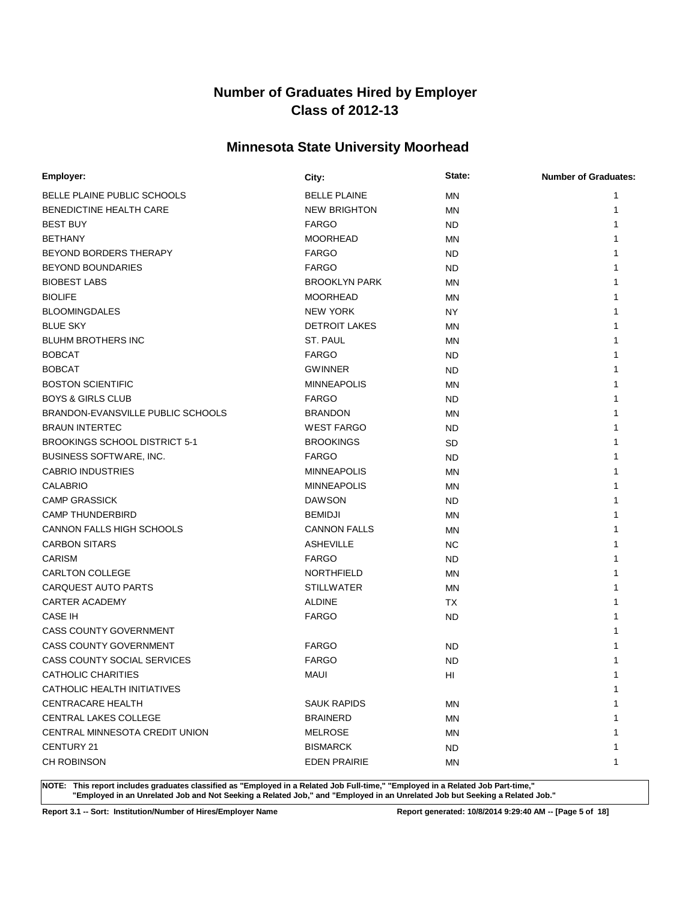# **Minnesota State University Moorhead**

| Employer:                            | City:                | State:    | <b>Number of Graduates:</b> |
|--------------------------------------|----------------------|-----------|-----------------------------|
| BELLE PLAINE PUBLIC SCHOOLS          | <b>BELLE PLAINE</b>  | <b>MN</b> | 1                           |
| BENEDICTINE HEALTH CARE              | <b>NEW BRIGHTON</b>  | MN        | 1                           |
| <b>BEST BUY</b>                      | <b>FARGO</b>         | <b>ND</b> | 1                           |
| <b>BETHANY</b>                       | <b>MOORHEAD</b>      | <b>MN</b> | 1                           |
| BEYOND BORDERS THERAPY               | <b>FARGO</b>         | <b>ND</b> | 1                           |
| <b>BEYOND BOUNDARIES</b>             | <b>FARGO</b>         | <b>ND</b> |                             |
| <b>BIOBEST LABS</b>                  | <b>BROOKLYN PARK</b> | <b>MN</b> |                             |
| <b>BIOLIFE</b>                       | <b>MOORHEAD</b>      | <b>MN</b> |                             |
| <b>BLOOMINGDALES</b>                 | <b>NEW YORK</b>      | <b>NY</b> |                             |
| <b>BLUE SKY</b>                      | <b>DETROIT LAKES</b> | <b>MN</b> |                             |
| <b>BLUHM BROTHERS INC</b>            | ST. PAUL             | <b>MN</b> |                             |
| <b>BOBCAT</b>                        | <b>FARGO</b>         | <b>ND</b> |                             |
| <b>BOBCAT</b>                        | <b>GWINNER</b>       | <b>ND</b> | 1                           |
| <b>BOSTON SCIENTIFIC</b>             | <b>MINNEAPOLIS</b>   | MN        | 1                           |
| <b>BOYS &amp; GIRLS CLUB</b>         | <b>FARGO</b>         | <b>ND</b> | 1                           |
| BRANDON-EVANSVILLE PUBLIC SCHOOLS    | <b>BRANDON</b>       | MN        | 1                           |
| <b>BRAUN INTERTEC</b>                | <b>WEST FARGO</b>    | <b>ND</b> | 1                           |
| <b>BROOKINGS SCHOOL DISTRICT 5-1</b> | <b>BROOKINGS</b>     | SD        | 1                           |
| BUSINESS SOFTWARE, INC.              | <b>FARGO</b>         | <b>ND</b> | 1                           |
| <b>CABRIO INDUSTRIES</b>             | <b>MINNEAPOLIS</b>   | <b>MN</b> | 1                           |
| <b>CALABRIO</b>                      | <b>MINNEAPOLIS</b>   | MN        | 1                           |
| <b>CAMP GRASSICK</b>                 | <b>DAWSON</b>        | <b>ND</b> |                             |
| <b>CAMP THUNDERBIRD</b>              | <b>BEMIDJI</b>       | <b>MN</b> |                             |
| CANNON FALLS HIGH SCHOOLS            | <b>CANNON FALLS</b>  | MN        |                             |
| <b>CARBON SITARS</b>                 | <b>ASHEVILLE</b>     | <b>NC</b> |                             |
| <b>CARISM</b>                        | <b>FARGO</b>         | <b>ND</b> |                             |
| CARLTON COLLEGE                      | <b>NORTHFIELD</b>    | <b>MN</b> | 1                           |
| <b>CARQUEST AUTO PARTS</b>           | <b>STILLWATER</b>    | MN        | 1                           |
| <b>CARTER ACADEMY</b>                | <b>ALDINE</b>        | TX        | 1                           |
| <b>CASE IH</b>                       | <b>FARGO</b>         | <b>ND</b> | 1                           |
| <b>CASS COUNTY GOVERNMENT</b>        |                      |           |                             |
| <b>CASS COUNTY GOVERNMENT</b>        | <b>FARGO</b>         | <b>ND</b> |                             |
| <b>CASS COUNTY SOCIAL SERVICES</b>   | <b>FARGO</b>         | <b>ND</b> | 1                           |
| <b>CATHOLIC CHARITIES</b>            | <b>MAUI</b>          | HI        | 1                           |
| CATHOLIC HEALTH INITIATIVES          |                      |           | 1                           |
| <b>CENTRACARE HEALTH</b>             | <b>SAUK RAPIDS</b>   | <b>MN</b> | 1                           |
| CENTRAL LAKES COLLEGE                | <b>BRAINERD</b>      | MN        | 1                           |
| CENTRAL MINNESOTA CREDIT UNION       | <b>MELROSE</b>       | MN        |                             |
| CENTURY 21                           | <b>BISMARCK</b>      | ND.       | 1                           |
| CH ROBINSON                          | <b>EDEN PRAIRIE</b>  | MN        | 1                           |

**NOTE: This report includes graduates classified as "Employed in a Related Job Full-time," "Employed in a Related Job Part-time," "Employed in an Unrelated Job and Not Seeking a Related Job," and "Employed in an Unrelated Job but Seeking a Related Job."**

**Report 3.1 -- Sort: Institution/Number of Hires/Employer Name Report generated: 10/8/2014 9:29:40 AM -- [Page 5 of 18]**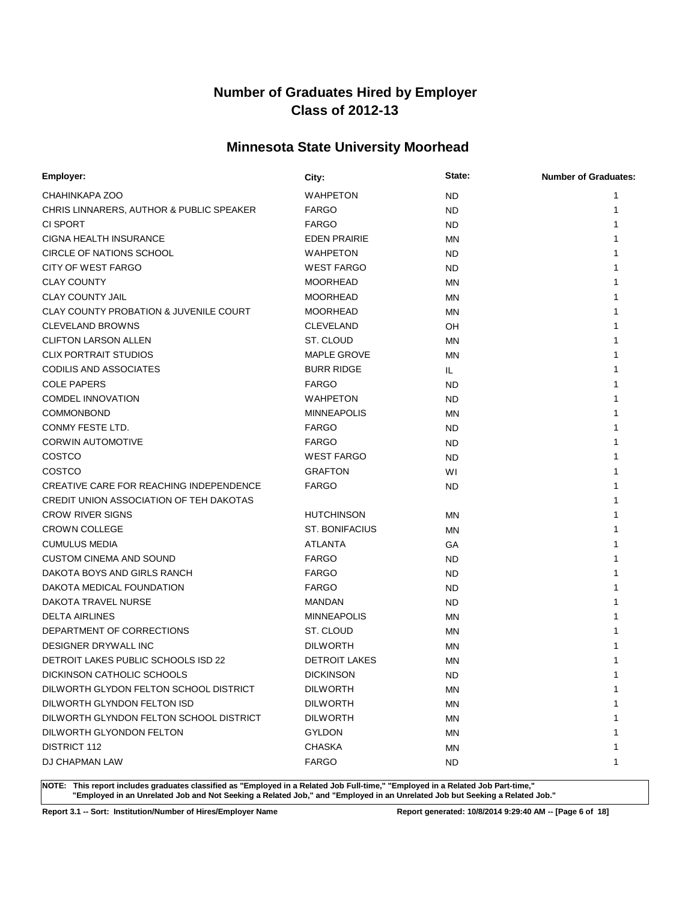# **Minnesota State University Moorhead**

| Employer:                                         | City:                 | State:    | <b>Number of Graduates:</b> |
|---------------------------------------------------|-----------------------|-----------|-----------------------------|
| CHAHINKAPA ZOO                                    | <b>WAHPETON</b>       | <b>ND</b> | 1                           |
| CHRIS LINNARERS, AUTHOR & PUBLIC SPEAKER          | <b>FARGO</b>          | <b>ND</b> | 1                           |
| CI SPORT                                          | <b>FARGO</b>          | <b>ND</b> |                             |
| CIGNA HEALTH INSURANCE                            | <b>EDEN PRAIRIE</b>   | <b>MN</b> |                             |
| CIRCLE OF NATIONS SCHOOL                          | <b>WAHPETON</b>       | <b>ND</b> |                             |
| <b>CITY OF WEST FARGO</b>                         | <b>WEST FARGO</b>     | <b>ND</b> |                             |
| <b>CLAY COUNTY</b>                                | <b>MOORHEAD</b>       | <b>MN</b> |                             |
| <b>CLAY COUNTY JAIL</b>                           | <b>MOORHEAD</b>       | <b>MN</b> |                             |
| <b>CLAY COUNTY PROBATION &amp; JUVENILE COURT</b> | <b>MOORHEAD</b>       | <b>MN</b> |                             |
| <b>CLEVELAND BROWNS</b>                           | <b>CLEVELAND</b>      | <b>OH</b> |                             |
| <b>CLIFTON LARSON ALLEN</b>                       | ST. CLOUD             | <b>MN</b> |                             |
| <b>CLIX PORTRAIT STUDIOS</b>                      | <b>MAPLE GROVE</b>    | <b>MN</b> |                             |
| <b>CODILIS AND ASSOCIATES</b>                     | <b>BURR RIDGE</b>     | IL.       |                             |
| <b>COLE PAPERS</b>                                | <b>FARGO</b>          | <b>ND</b> |                             |
| <b>COMDEL INNOVATION</b>                          | <b>WAHPETON</b>       | <b>ND</b> |                             |
| <b>COMMONBOND</b>                                 | <b>MINNEAPOLIS</b>    | <b>MN</b> |                             |
| CONMY FESTE LTD.                                  | <b>FARGO</b>          | <b>ND</b> |                             |
| <b>CORWIN AUTOMOTIVE</b>                          | <b>FARGO</b>          | <b>ND</b> |                             |
| COSTCO                                            | <b>WEST FARGO</b>     | <b>ND</b> |                             |
| COSTCO                                            | <b>GRAFTON</b>        | WI        | 1                           |
| CREATIVE CARE FOR REACHING INDEPENDENCE           | <b>FARGO</b>          | <b>ND</b> | 1                           |
| CREDIT UNION ASSOCIATION OF TEH DAKOTAS           |                       |           | 1                           |
| <b>CROW RIVER SIGNS</b>                           | <b>HUTCHINSON</b>     | <b>MN</b> |                             |
| <b>CROWN COLLEGE</b>                              | <b>ST. BONIFACIUS</b> | <b>MN</b> |                             |
| <b>CUMULUS MEDIA</b>                              | <b>ATLANTA</b>        | GA        |                             |
| <b>CUSTOM CINEMA AND SOUND</b>                    | <b>FARGO</b>          | <b>ND</b> |                             |
| DAKOTA BOYS AND GIRLS RANCH                       | <b>FARGO</b>          | <b>ND</b> |                             |
| DAKOTA MEDICAL FOUNDATION                         | <b>FARGO</b>          | <b>ND</b> |                             |
| DAKOTA TRAVEL NURSE                               | <b>MANDAN</b>         | <b>ND</b> | 1                           |
| <b>DELTA AIRLINES</b>                             | <b>MINNEAPOLIS</b>    | MN        |                             |
| DEPARTMENT OF CORRECTIONS                         | ST. CLOUD             | ΜN        |                             |
| DESIGNER DRYWALL INC                              | <b>DILWORTH</b>       | <b>MN</b> |                             |
| DETROIT LAKES PUBLIC SCHOOLS ISD 22               | <b>DETROIT LAKES</b>  | <b>MN</b> |                             |
| DICKINSON CATHOLIC SCHOOLS                        | <b>DICKINSON</b>      | <b>ND</b> | 1                           |
| DILWORTH GLYDON FELTON SCHOOL DISTRICT            | <b>DILWORTH</b>       | ΜN        | 1                           |
| DILWORTH GLYNDON FELTON ISD                       | <b>DILWORTH</b>       | <b>MN</b> | 1                           |
| DILWORTH GLYNDON FELTON SCHOOL DISTRICT           | <b>DILWORTH</b>       | ΜN        | 1                           |
| DILWORTH GLYONDON FELTON                          | <b>GYLDON</b>         | ΜN        |                             |
| <b>DISTRICT 112</b>                               | <b>CHASKA</b>         | MN        | 1                           |
| DJ CHAPMAN LAW                                    | <b>FARGO</b>          | ND.       | 1                           |
|                                                   |                       |           |                             |

**NOTE: This report includes graduates classified as "Employed in a Related Job Full-time," "Employed in a Related Job Part-time," "Employed in an Unrelated Job and Not Seeking a Related Job," and "Employed in an Unrelated Job but Seeking a Related Job."**

**Report 3.1 -- Sort: Institution/Number of Hires/Employer Name Report generated: 10/8/2014 9:29:40 AM -- [Page 6 of 18]**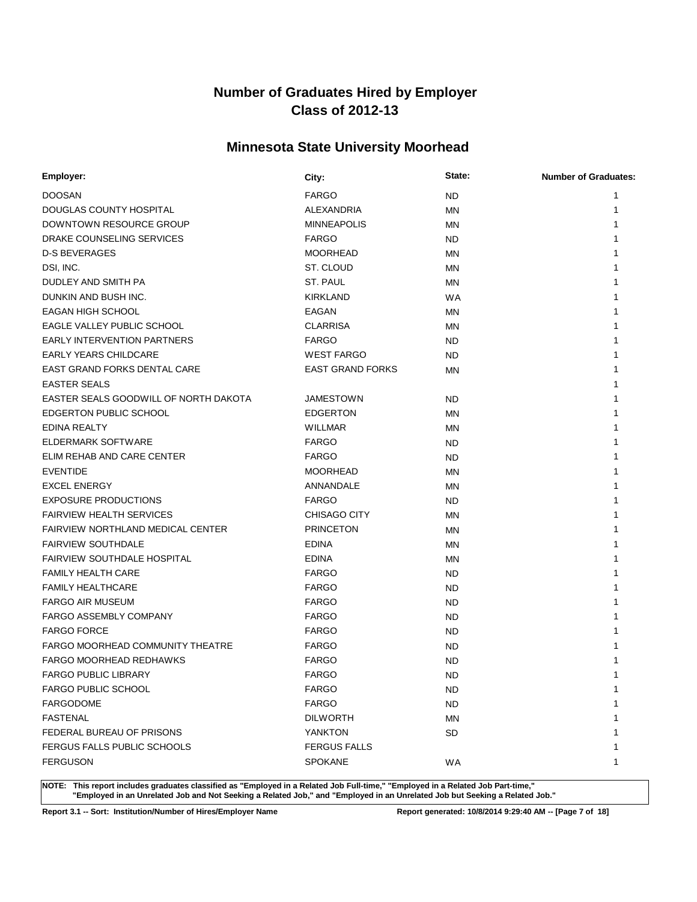# **Minnesota State University Moorhead**

| Employer:                             | City:                   | State:    | <b>Number of Graduates:</b> |
|---------------------------------------|-------------------------|-----------|-----------------------------|
| <b>DOOSAN</b>                         | <b>FARGO</b>            | <b>ND</b> | 1                           |
| DOUGLAS COUNTY HOSPITAL               | ALEXANDRIA              | <b>MN</b> |                             |
| DOWNTOWN RESOURCE GROUP               | <b>MINNEAPOLIS</b>      | MN        |                             |
| DRAKE COUNSELING SERVICES             | <b>FARGO</b>            | <b>ND</b> |                             |
| <b>D-S BEVERAGES</b>                  | <b>MOORHEAD</b>         | MN        |                             |
| DSI, INC.                             | ST. CLOUD               | <b>MN</b> |                             |
| DUDLEY AND SMITH PA                   | ST. PAUL                | <b>MN</b> |                             |
| DUNKIN AND BUSH INC.                  | <b>KIRKLAND</b>         | <b>WA</b> |                             |
| <b>EAGAN HIGH SCHOOL</b>              | EAGAN                   | ΜN        |                             |
| EAGLE VALLEY PUBLIC SCHOOL            | <b>CLARRISA</b>         | <b>MN</b> |                             |
| <b>EARLY INTERVENTION PARTNERS</b>    | <b>FARGO</b>            | <b>ND</b> |                             |
| <b>EARLY YEARS CHILDCARE</b>          | <b>WEST FARGO</b>       | <b>ND</b> |                             |
| EAST GRAND FORKS DENTAL CARE          | <b>EAST GRAND FORKS</b> | MN        |                             |
| <b>EASTER SEALS</b>                   |                         |           |                             |
| EASTER SEALS GOODWILL OF NORTH DAKOTA | <b>JAMESTOWN</b>        | <b>ND</b> |                             |
| EDGERTON PUBLIC SCHOOL                | <b>EDGERTON</b>         | MN        |                             |
| EDINA REALTY                          | WILLMAR                 | ΜN        |                             |
| ELDERMARK SOFTWARE                    | <b>FARGO</b>            | <b>ND</b> |                             |
| ELIM REHAB AND CARE CENTER            | <b>FARGO</b>            | <b>ND</b> |                             |
| <b>EVENTIDE</b>                       | <b>MOORHEAD</b>         | MN        |                             |
| <b>EXCEL ENERGY</b>                   | ANNANDALE               | ΜN        |                             |
| <b>EXPOSURE PRODUCTIONS</b>           | <b>FARGO</b>            | <b>ND</b> |                             |
| <b>FAIRVIEW HEALTH SERVICES</b>       | <b>CHISAGO CITY</b>     | MN        |                             |
| FAIRVIEW NORTHLAND MEDICAL CENTER     | <b>PRINCETON</b>        | MN        |                             |
| <b>FAIRVIEW SOUTHDALE</b>             | <b>EDINA</b>            | <b>MN</b> |                             |
| <b>FAIRVIEW SOUTHDALE HOSPITAL</b>    | <b>EDINA</b>            | MN        |                             |
| <b>FAMILY HEALTH CARE</b>             | <b>FARGO</b>            | <b>ND</b> |                             |
| <b>FAMILY HEALTHCARE</b>              | <b>FARGO</b>            | <b>ND</b> |                             |
| <b>FARGO AIR MUSEUM</b>               | <b>FARGO</b>            | <b>ND</b> |                             |
| <b>FARGO ASSEMBLY COMPANY</b>         | <b>FARGO</b>            | <b>ND</b> |                             |
| <b>FARGO FORCE</b>                    | <b>FARGO</b>            | ND        |                             |
| FARGO MOORHEAD COMMUNITY THEATRE      | <b>FARGO</b>            | <b>ND</b> |                             |
| <b>FARGO MOORHEAD REDHAWKS</b>        | <b>FARGO</b>            | <b>ND</b> |                             |
| FARGO PUBLIC LIBRARY                  | <b>FARGO</b>            | <b>ND</b> |                             |
| <b>FARGO PUBLIC SCHOOL</b>            | <b>FARGO</b>            | <b>ND</b> | 1                           |
| <b>FARGODOME</b>                      | <b>FARGO</b>            | <b>ND</b> |                             |
| <b>FASTENAL</b>                       | <b>DILWORTH</b>         | ΜN        |                             |
| FEDERAL BUREAU OF PRISONS             | <b>YANKTON</b>          | <b>SD</b> |                             |
| FERGUS FALLS PUBLIC SCHOOLS           | <b>FERGUS FALLS</b>     |           |                             |
| <b>FERGUSON</b>                       | <b>SPOKANE</b>          | WA        | 1                           |

**NOTE: This report includes graduates classified as "Employed in a Related Job Full-time," "Employed in a Related Job Part-time," "Employed in an Unrelated Job and Not Seeking a Related Job," and "Employed in an Unrelated Job but Seeking a Related Job."**

**Report 3.1 -- Sort: Institution/Number of Hires/Employer Name Report generated: 10/8/2014 9:29:40 AM -- [Page 7 of 18]**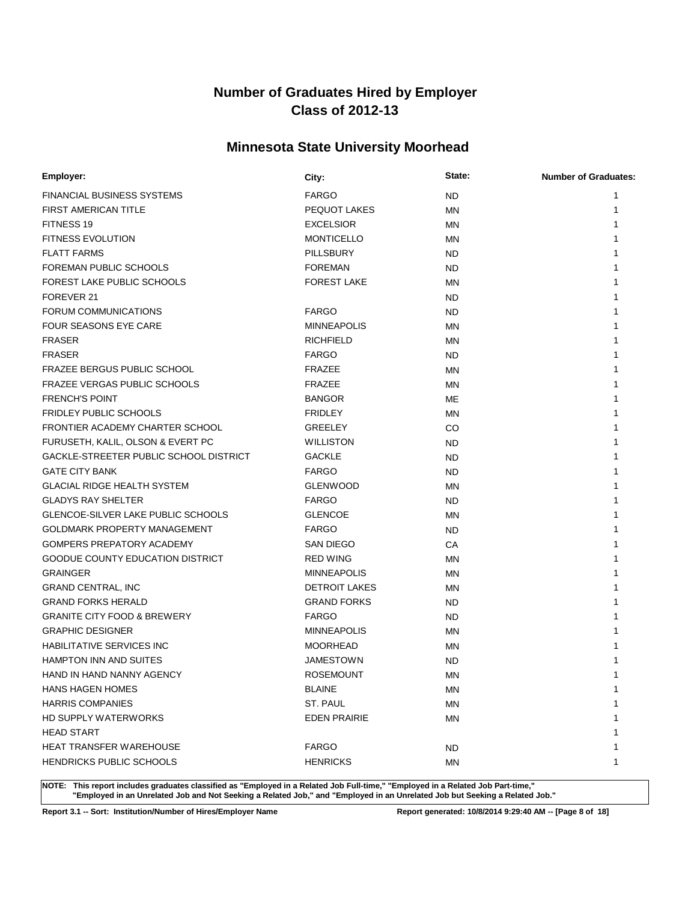# **Minnesota State University Moorhead**

| Employer:                                 | City:                | State:    | <b>Number of Graduates:</b> |
|-------------------------------------------|----------------------|-----------|-----------------------------|
| <b>FINANCIAL BUSINESS SYSTEMS</b>         | <b>FARGO</b>         | <b>ND</b> | 1                           |
| FIRST AMERICAN TITLE                      | PEQUOT LAKES         | <b>MN</b> | 1                           |
| FITNESS 19                                | <b>EXCELSIOR</b>     | <b>MN</b> | 1                           |
| <b>FITNESS EVOLUTION</b>                  | <b>MONTICELLO</b>    | <b>MN</b> | 1                           |
| <b>FLATT FARMS</b>                        | <b>PILLSBURY</b>     | ND.       | 1                           |
| FOREMAN PUBLIC SCHOOLS                    | <b>FOREMAN</b>       | ND.       |                             |
| FOREST LAKE PUBLIC SCHOOLS                | <b>FOREST LAKE</b>   | <b>MN</b> |                             |
| FOREVER 21                                |                      | ND.       |                             |
| FORUM COMMUNICATIONS                      | <b>FARGO</b>         | ND.       |                             |
| FOUR SEASONS EYE CARE                     | <b>MINNEAPOLIS</b>   | <b>MN</b> |                             |
| <b>FRASER</b>                             | <b>RICHFIELD</b>     | <b>MN</b> |                             |
| <b>FRASER</b>                             | <b>FARGO</b>         | ND.       |                             |
| <b>FRAZEE BERGUS PUBLIC SCHOOL</b>        | <b>FRAZEE</b>        | <b>MN</b> | 1                           |
| FRAZEE VERGAS PUBLIC SCHOOLS              | FRAZEE               | <b>MN</b> |                             |
| <b>FRENCH'S POINT</b>                     | <b>BANGOR</b>        | ME        |                             |
| <b>FRIDLEY PUBLIC SCHOOLS</b>             | <b>FRIDLEY</b>       | MN        |                             |
| FRONTIER ACADEMY CHARTER SCHOOL           | <b>GREELEY</b>       | CO        |                             |
| FURUSETH, KALIL, OLSON & EVERT PC         | <b>WILLISTON</b>     | ND.       |                             |
| GACKLE-STREETER PUBLIC SCHOOL DISTRICT    | <b>GACKLE</b>        | ND.       |                             |
| <b>GATE CITY BANK</b>                     | <b>FARGO</b>         | ND.       |                             |
| <b>GLACIAL RIDGE HEALTH SYSTEM</b>        | <b>GLENWOOD</b>      | ΜN        |                             |
| <b>GLADYS RAY SHELTER</b>                 | <b>FARGO</b>         | ND.       |                             |
| <b>GLENCOE-SILVER LAKE PUBLIC SCHOOLS</b> | <b>GLENCOE</b>       | ΜN        |                             |
| <b>GOLDMARK PROPERTY MANAGEMENT</b>       | <b>FARGO</b>         | <b>ND</b> |                             |
| <b>GOMPERS PREPATORY ACADEMY</b>          | <b>SAN DIEGO</b>     | CA        |                             |
| <b>GOODUE COUNTY EDUCATION DISTRICT</b>   | <b>RED WING</b>      | ΜN        |                             |
| <b>GRAINGER</b>                           | <b>MINNEAPOLIS</b>   | MN        |                             |
| <b>GRAND CENTRAL, INC</b>                 | <b>DETROIT LAKES</b> | <b>MN</b> | 1                           |
| <b>GRAND FORKS HERALD</b>                 | <b>GRAND FORKS</b>   | ND.       |                             |
| <b>GRANITE CITY FOOD &amp; BREWERY</b>    | <b>FARGO</b>         | <b>ND</b> |                             |
| <b>GRAPHIC DESIGNER</b>                   | <b>MINNEAPOLIS</b>   | <b>MN</b> |                             |
| <b>HABILITATIVE SERVICES INC</b>          | <b>MOORHEAD</b>      | MN        |                             |
| <b>HAMPTON INN AND SUITES</b>             | <b>JAMESTOWN</b>     | <b>ND</b> |                             |
| HAND IN HAND NANNY AGENCY                 | <b>ROSEMOUNT</b>     | ΜN        | 1                           |
| <b>HANS HAGEN HOMES</b>                   | <b>BLAINE</b>        | ΜN        | 1                           |
| <b>HARRIS COMPANIES</b>                   | ST. PAUL             | <b>MN</b> | 1                           |
| <b>HD SUPPLY WATERWORKS</b>               | <b>EDEN PRAIRIE</b>  | ΜN        | 1                           |
| <b>HEAD START</b>                         |                      |           |                             |
| HEAT TRANSFER WAREHOUSE                   | <b>FARGO</b>         | ND.       | 1                           |
| HENDRICKS PUBLIC SCHOOLS                  | <b>HENRICKS</b>      | MN        | 1                           |
|                                           |                      |           |                             |

**NOTE: This report includes graduates classified as "Employed in a Related Job Full-time," "Employed in a Related Job Part-time," "Employed in an Unrelated Job and Not Seeking a Related Job," and "Employed in an Unrelated Job but Seeking a Related Job."**

**Report 3.1 -- Sort: Institution/Number of Hires/Employer Name Report generated: 10/8/2014 9:29:40 AM -- [Page 8 of 18]**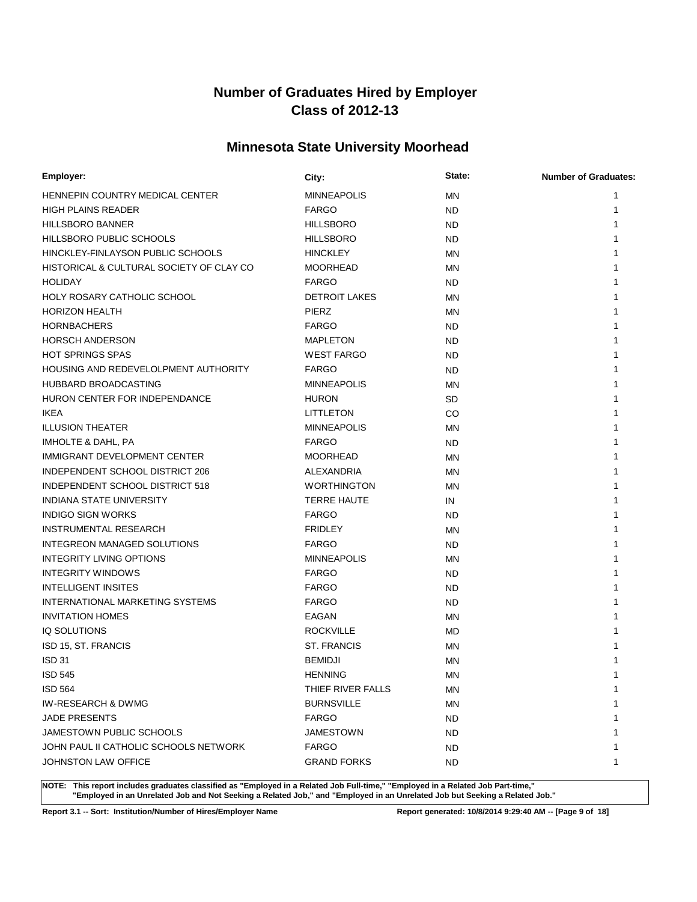# **Minnesota State University Moorhead**

| Employer:                                | City:                | State:    | <b>Number of Graduates:</b> |
|------------------------------------------|----------------------|-----------|-----------------------------|
| HENNEPIN COUNTRY MEDICAL CENTER          | <b>MINNEAPOLIS</b>   | <b>MN</b> | 1                           |
| <b>HIGH PLAINS READER</b>                | <b>FARGO</b>         | <b>ND</b> | 1                           |
| <b>HILLSBORO BANNER</b>                  | <b>HILLSBORO</b>     | ND.       | 1                           |
| HILLSBORO PUBLIC SCHOOLS                 | <b>HILLSBORO</b>     | <b>ND</b> | 1                           |
| HINCKLEY-FINLAYSON PUBLIC SCHOOLS        | <b>HINCKLEY</b>      | <b>MN</b> | 1                           |
| HISTORICAL & CULTURAL SOCIETY OF CLAY CO | <b>MOORHEAD</b>      | ΜN        |                             |
| <b>HOLIDAY</b>                           | <b>FARGO</b>         | ND.       |                             |
| HOLY ROSARY CATHOLIC SCHOOL              | <b>DETROIT LAKES</b> | <b>MN</b> |                             |
| <b>HORIZON HEALTH</b>                    | <b>PIERZ</b>         | <b>MN</b> |                             |
| <b>HORNBACHERS</b>                       | <b>FARGO</b>         | ND.       |                             |
| <b>HORSCH ANDERSON</b>                   | <b>MAPLETON</b>      | <b>ND</b> |                             |
| <b>HOT SPRINGS SPAS</b>                  | <b>WEST FARGO</b>    | <b>ND</b> |                             |
| HOUSING AND REDEVELOLPMENT AUTHORITY     | <b>FARGO</b>         | <b>ND</b> |                             |
| HUBBARD BROADCASTING                     | <b>MINNEAPOLIS</b>   | MN        |                             |
| HURON CENTER FOR INDEPENDANCE            | <b>HURON</b>         | <b>SD</b> |                             |
| <b>IKEA</b>                              | LITTLETON            | CO        |                             |
| <b>ILLUSION THEATER</b>                  | <b>MINNEAPOLIS</b>   | <b>MN</b> |                             |
| IMHOLTE & DAHL, PA                       | <b>FARGO</b>         | <b>ND</b> |                             |
| <b>IMMIGRANT DEVELOPMENT CENTER</b>      | <b>MOORHEAD</b>      | <b>MN</b> |                             |
| INDEPENDENT SCHOOL DISTRICT 206          | ALEXANDRIA           | <b>MN</b> | 1                           |
| INDEPENDENT SCHOOL DISTRICT 518          | <b>WORTHINGTON</b>   | <b>MN</b> | 1                           |
| <b>INDIANA STATE UNIVERSITY</b>          | <b>TERRE HAUTE</b>   | IN        |                             |
| <b>INDIGO SIGN WORKS</b>                 | <b>FARGO</b>         | ND.       |                             |
| <b>INSTRUMENTAL RESEARCH</b>             | <b>FRIDLEY</b>       | ΜN        |                             |
| INTEGREON MANAGED SOLUTIONS              | <b>FARGO</b>         | ND.       |                             |
| <b>INTEGRITY LIVING OPTIONS</b>          | <b>MINNEAPOLIS</b>   | <b>MN</b> |                             |
| <b>INTEGRITY WINDOWS</b>                 | <b>FARGO</b>         | ND.       | 1                           |
| <b>INTELLIGENT INSITES</b>               | <b>FARGO</b>         | <b>ND</b> | 1                           |
| INTERNATIONAL MARKETING SYSTEMS          | <b>FARGO</b>         | <b>ND</b> | 1                           |
| <b>INVITATION HOMES</b>                  | EAGAN                | MN        |                             |
| IQ SOLUTIONS                             | <b>ROCKVILLE</b>     | MD.       |                             |
| ISD 15, ST. FRANCIS                      | <b>ST. FRANCIS</b>   | MN        |                             |
| <b>ISD 31</b>                            | <b>BEMIDJI</b>       | <b>MN</b> |                             |
| <b>ISD 545</b>                           | <b>HENNING</b>       | ΜN        |                             |
| <b>ISD 564</b>                           | THIEF RIVER FALLS    | ΜN        | 1                           |
| IW-RESEARCH & DWMG                       | <b>BURNSVILLE</b>    | ΜN        | 1                           |
| <b>JADE PRESENTS</b>                     | <b>FARGO</b>         | <b>ND</b> | 1                           |
| JAMESTOWN PUBLIC SCHOOLS                 | <b>JAMESTOWN</b>     | ND.       |                             |
| JOHN PAUL II CATHOLIC SCHOOLS NETWORK    | <b>FARGO</b>         | ND.       | 1                           |
| JOHNSTON LAW OFFICE                      | <b>GRAND FORKS</b>   | ND.       | 1                           |

**NOTE: This report includes graduates classified as "Employed in a Related Job Full-time," "Employed in a Related Job Part-time," "Employed in an Unrelated Job and Not Seeking a Related Job," and "Employed in an Unrelated Job but Seeking a Related Job."**

**Report 3.1 -- Sort: Institution/Number of Hires/Employer Name Report generated: 10/8/2014 9:29:40 AM -- [Page 9 of 18]**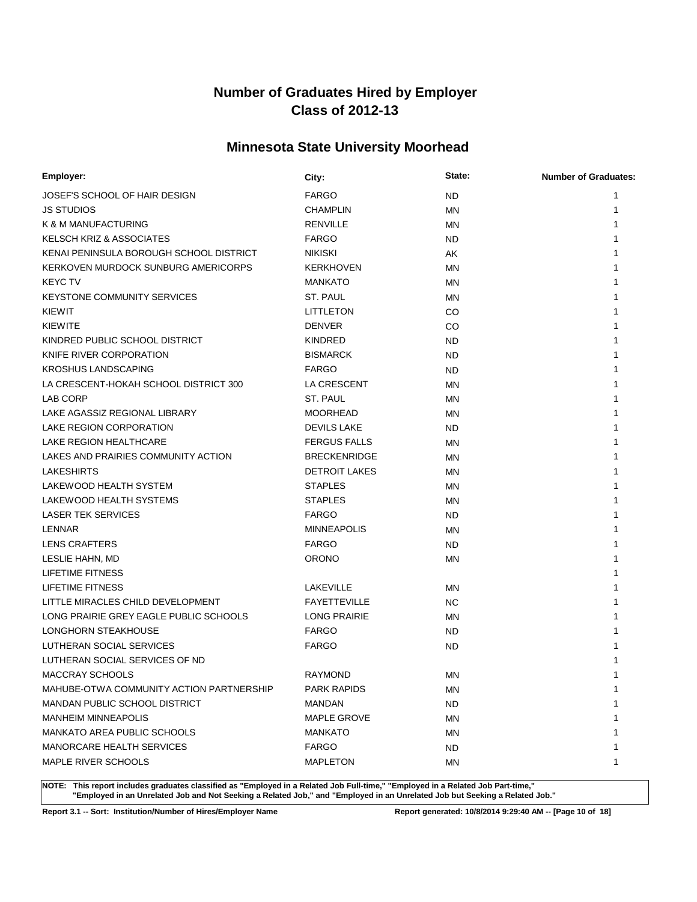# **Minnesota State University Moorhead**

| Employer:                                | City:                | State:    | <b>Number of Graduates:</b> |
|------------------------------------------|----------------------|-----------|-----------------------------|
| JOSEF'S SCHOOL OF HAIR DESIGN            | <b>FARGO</b>         | <b>ND</b> |                             |
| <b>JS STUDIOS</b>                        | <b>CHAMPLIN</b>      | MN        |                             |
| K & M MANUFACTURING                      | <b>RENVILLE</b>      | <b>MN</b> |                             |
| <b>KELSCH KRIZ &amp; ASSOCIATES</b>      | <b>FARGO</b>         | <b>ND</b> |                             |
| KENAI PENINSULA BOROUGH SCHOOL DISTRICT  | <b>NIKISKI</b>       | AK        |                             |
| KERKOVEN MURDOCK SUNBURG AMERICORPS      | <b>KERKHOVEN</b>     | ΜN        |                             |
| <b>KEYC TV</b>                           | <b>MANKATO</b>       | MN        |                             |
| <b>KEYSTONE COMMUNITY SERVICES</b>       | ST. PAUL             | MN        |                             |
| KIEWIT                                   | <b>LITTLETON</b>     | CO        |                             |
| KIEWITE                                  | <b>DENVER</b>        | CO        |                             |
| KINDRED PUBLIC SCHOOL DISTRICT           | <b>KINDRED</b>       | <b>ND</b> |                             |
| KNIFE RIVER CORPORATION                  | <b>BISMARCK</b>      | <b>ND</b> |                             |
| <b>KROSHUS LANDSCAPING</b>               | <b>FARGO</b>         | <b>ND</b> |                             |
| LA CRESCENT-HOKAH SCHOOL DISTRICT 300    | LA CRESCENT          | ΜN        |                             |
| LAB CORP                                 | ST. PAUL             | MN        |                             |
| LAKE AGASSIZ REGIONAL LIBRARY            | <b>MOORHEAD</b>      | MN        |                             |
| LAKE REGION CORPORATION                  | <b>DEVILS LAKE</b>   | <b>ND</b> |                             |
| LAKE REGION HEALTHCARE                   | <b>FERGUS FALLS</b>  | ΜN        |                             |
| LAKES AND PRAIRIES COMMUNITY ACTION      | <b>BRECKENRIDGE</b>  | MN        |                             |
| <b>LAKESHIRTS</b>                        | <b>DETROIT LAKES</b> | MN        |                             |
| LAKEWOOD HEALTH SYSTEM                   | <b>STAPLES</b>       | <b>MN</b> |                             |
| LAKEWOOD HEALTH SYSTEMS                  | <b>STAPLES</b>       | ΜN        |                             |
| <b>LASER TEK SERVICES</b>                | <b>FARGO</b>         | <b>ND</b> |                             |
| LENNAR                                   | <b>MINNEAPOLIS</b>   | <b>MN</b> |                             |
| <b>LENS CRAFTERS</b>                     | <b>FARGO</b>         | <b>ND</b> |                             |
| LESLIE HAHN, MD                          | <b>ORONO</b>         | <b>MN</b> |                             |
| <b>LIFETIME FITNESS</b>                  |                      |           |                             |
| LIFETIME FITNESS                         | LAKEVILLE            | ΜN        |                             |
| LITTLE MIRACLES CHILD DEVELOPMENT        | <b>FAYETTEVILLE</b>  | <b>NC</b> |                             |
| LONG PRAIRIE GREY EAGLE PUBLIC SCHOOLS   | <b>LONG PRAIRIE</b>  | ΜN        |                             |
| LONGHORN STEAKHOUSE                      | <b>FARGO</b>         | <b>ND</b> |                             |
| LUTHERAN SOCIAL SERVICES                 | <b>FARGO</b>         | <b>ND</b> |                             |
| LUTHERAN SOCIAL SERVICES OF ND           |                      |           |                             |
| <b>MACCRAY SCHOOLS</b>                   | <b>RAYMOND</b>       | <b>MN</b> |                             |
| MAHUBE-OTWA COMMUNITY ACTION PARTNERSHIP | PARK RAPIDS          | MN        | 1                           |
| <b>MANDAN PUBLIC SCHOOL DISTRICT</b>     | <b>MANDAN</b>        | <b>ND</b> |                             |
| <b>MANHEIM MINNEAPOLIS</b>               | <b>MAPLE GROVE</b>   | MN        |                             |
| <b>MANKATO AREA PUBLIC SCHOOLS</b>       | MANKATO              | ΜN        |                             |
| MANORCARE HEALTH SERVICES                | <b>FARGO</b>         | <b>ND</b> |                             |
| MAPLE RIVER SCHOOLS                      | <b>MAPLETON</b>      | ΜN        | 1                           |

**NOTE: This report includes graduates classified as "Employed in a Related Job Full-time," "Employed in a Related Job Part-time," "Employed in an Unrelated Job and Not Seeking a Related Job," and "Employed in an Unrelated Job but Seeking a Related Job."**

**Report 3.1 -- Sort: Institution/Number of Hires/Employer Name Report generated: 10/8/2014 9:29:40 AM -- [Page 10 of 18]**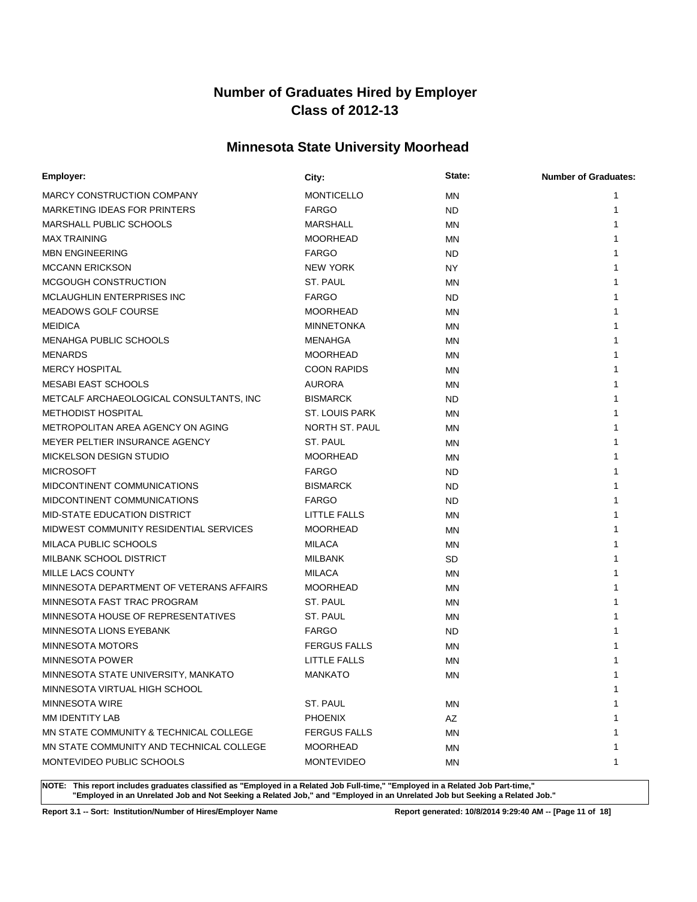# **Minnesota State University Moorhead**

| Employer:                                | City:               | State:    | <b>Number of Graduates:</b> |
|------------------------------------------|---------------------|-----------|-----------------------------|
| MARCY CONSTRUCTION COMPANY               | <b>MONTICELLO</b>   | <b>MN</b> | 1                           |
| MARKETING IDEAS FOR PRINTERS             | <b>FARGO</b>        | <b>ND</b> | 1                           |
| MARSHALL PUBLIC SCHOOLS                  | <b>MARSHALL</b>     | <b>MN</b> |                             |
| <b>MAX TRAINING</b>                      | <b>MOORHEAD</b>     | <b>MN</b> |                             |
| <b>MBN ENGINEERING</b>                   | <b>FARGO</b>        | <b>ND</b> |                             |
| <b>MCCANN ERICKSON</b>                   | <b>NEW YORK</b>     | NY.       |                             |
| MCGOUGH CONSTRUCTION                     | ST. PAUL            | MN        |                             |
| <b>MCLAUGHLIN ENTERPRISES INC</b>        | <b>FARGO</b>        | ND.       |                             |
| <b>MEADOWS GOLF COURSE</b>               | <b>MOORHEAD</b>     | MN        |                             |
| <b>MEIDICA</b>                           | <b>MINNETONKA</b>   | <b>MN</b> |                             |
| MENAHGA PUBLIC SCHOOLS                   | <b>MENAHGA</b>      | <b>MN</b> |                             |
| <b>MENARDS</b>                           | <b>MOORHEAD</b>     | <b>MN</b> |                             |
| <b>MERCY HOSPITAL</b>                    | <b>COON RAPIDS</b>  | <b>MN</b> |                             |
| <b>MESABI EAST SCHOOLS</b>               | <b>AURORA</b>       | <b>MN</b> |                             |
| METCALF ARCHAEOLOGICAL CONSULTANTS, INC  | <b>BISMARCK</b>     | ND.       |                             |
| <b>METHODIST HOSPITAL</b>                | ST. LOUIS PARK      | <b>MN</b> |                             |
| METROPOLITAN AREA AGENCY ON AGING        | NORTH ST. PAUL      | <b>MN</b> |                             |
| MEYER PELTIER INSURANCE AGENCY           | ST. PAUL            | <b>MN</b> |                             |
| <b>MICKELSON DESIGN STUDIO</b>           | <b>MOORHEAD</b>     | <b>MN</b> |                             |
| <b>MICROSOFT</b>                         | <b>FARGO</b>        | ND.       |                             |
| MIDCONTINENT COMMUNICATIONS              | <b>BISMARCK</b>     | <b>ND</b> | 1                           |
| MIDCONTINENT COMMUNICATIONS              | <b>FARGO</b>        | <b>ND</b> |                             |
| MID-STATE EDUCATION DISTRICT             | LITTLE FALLS        | MN        |                             |
| MIDWEST COMMUNITY RESIDENTIAL SERVICES   | <b>MOORHEAD</b>     | <b>MN</b> |                             |
| MILACA PUBLIC SCHOOLS                    | <b>MILACA</b>       | ΜN        |                             |
| MILBANK SCHOOL DISTRICT                  | <b>MILBANK</b>      | SD        |                             |
| MILLE LACS COUNTY                        | <b>MILACA</b>       | <b>MN</b> |                             |
| MINNESOTA DEPARTMENT OF VETERANS AFFAIRS | <b>MOORHEAD</b>     | <b>MN</b> |                             |
| MINNESOTA FAST TRAC PROGRAM              | ST. PAUL            | <b>MN</b> | 1                           |
| MINNESOTA HOUSE OF REPRESENTATIVES       | ST. PAUL            | <b>MN</b> |                             |
| MINNESOTA LIONS EYEBANK                  | <b>FARGO</b>        | ND.       |                             |
| <b>MINNESOTA MOTORS</b>                  | <b>FERGUS FALLS</b> | <b>MN</b> |                             |
| <b>MINNESOTA POWER</b>                   | <b>LITTLE FALLS</b> | <b>MN</b> |                             |
| MINNESOTA STATE UNIVERSITY, MANKATO      | <b>MANKATO</b>      | <b>MN</b> | 1                           |
| MINNESOTA VIRTUAL HIGH SCHOOL            |                     |           | 1                           |
| <b>MINNESOTA WIRE</b>                    | ST. PAUL            | ΜN        | 1                           |
| MM IDENTITY LAB                          | <b>PHOENIX</b>      | AZ        | 1                           |
| MN STATE COMMUNITY & TECHNICAL COLLEGE   | <b>FERGUS FALLS</b> | MN        | 1                           |
| MN STATE COMMUNITY AND TECHNICAL COLLEGE | <b>MOORHEAD</b>     | ΜN        | 1                           |
| MONTEVIDEO PUBLIC SCHOOLS                | <b>MONTEVIDEO</b>   | ΜN        | 1                           |

**NOTE: This report includes graduates classified as "Employed in a Related Job Full-time," "Employed in a Related Job Part-time," "Employed in an Unrelated Job and Not Seeking a Related Job," and "Employed in an Unrelated Job but Seeking a Related Job."**

**Report 3.1 -- Sort: Institution/Number of Hires/Employer Name Report generated: 10/8/2014 9:29:40 AM -- [Page 11 of 18]**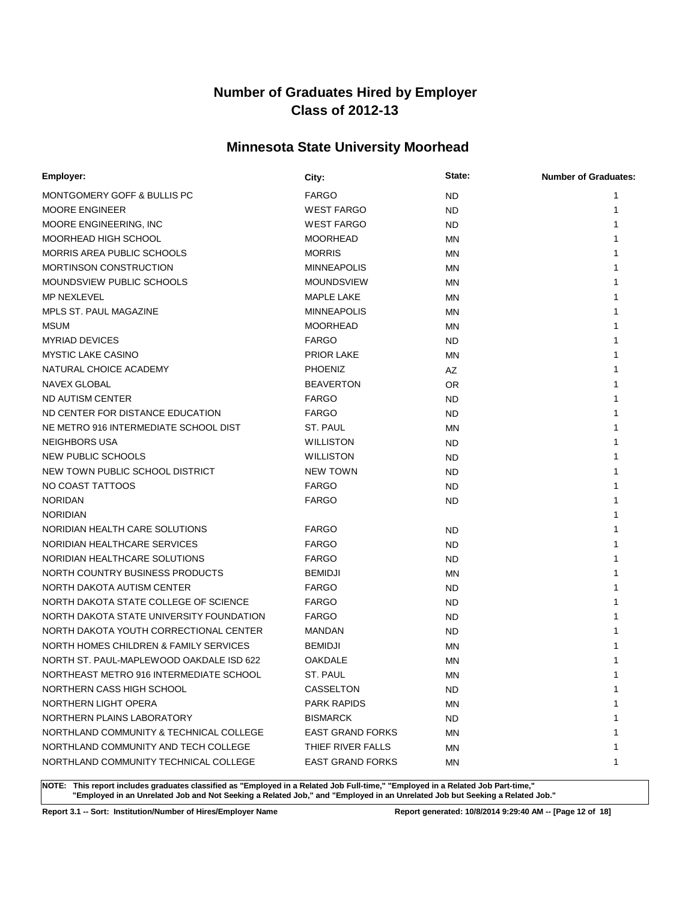# **Minnesota State University Moorhead**

| Employer:                                | City:                   | State:    | <b>Number of Graduates:</b> |
|------------------------------------------|-------------------------|-----------|-----------------------------|
| MONTGOMERY GOFF & BULLIS PC              | <b>FARGO</b>            | <b>ND</b> | 1                           |
| <b>MOORE ENGINEER</b>                    | <b>WEST FARGO</b>       | <b>ND</b> | 1                           |
| MOORE ENGINEERING, INC                   | <b>WEST FARGO</b>       | <b>ND</b> | 1                           |
| MOORHEAD HIGH SCHOOL                     | <b>MOORHEAD</b>         | <b>MN</b> | 1                           |
| MORRIS AREA PUBLIC SCHOOLS               | <b>MORRIS</b>           | <b>MN</b> |                             |
| MORTINSON CONSTRUCTION                   | <b>MINNEAPOLIS</b>      | MN        |                             |
| MOUNDSVIEW PUBLIC SCHOOLS                | <b>MOUNDSVIEW</b>       | <b>MN</b> |                             |
| <b>MP NEXLEVEL</b>                       | <b>MAPLE LAKE</b>       | <b>MN</b> |                             |
| MPLS ST. PAUL MAGAZINE                   | <b>MINNEAPOLIS</b>      | <b>MN</b> |                             |
| MSUM                                     | <b>MOORHEAD</b>         | MN.       |                             |
| <b>MYRIAD DEVICES</b>                    | <b>FARGO</b>            | ND.       |                             |
| <b>MYSTIC LAKE CASINO</b>                | <b>PRIOR LAKE</b>       | <b>MN</b> |                             |
| NATURAL CHOICE ACADEMY                   | <b>PHOENIZ</b>          | AZ        |                             |
| NAVEX GLOBAL                             | <b>BEAVERTON</b>        | OR.       |                             |
| ND AUTISM CENTER                         | <b>FARGO</b>            | ND.       |                             |
| ND CENTER FOR DISTANCE EDUCATION         | <b>FARGO</b>            | <b>ND</b> |                             |
| NE METRO 916 INTERMEDIATE SCHOOL DIST    | ST. PAUL                | <b>MN</b> |                             |
| <b>NEIGHBORS USA</b>                     | <b>WILLISTON</b>        | ND.       |                             |
| NEW PUBLIC SCHOOLS                       | <b>WILLISTON</b>        | <b>ND</b> |                             |
| NEW TOWN PUBLIC SCHOOL DISTRICT          | <b>NEW TOWN</b>         | <b>ND</b> |                             |
| NO COAST TATTOOS                         | <b>FARGO</b>            | ND.       |                             |
| <b>NORIDAN</b>                           | <b>FARGO</b>            | <b>ND</b> |                             |
| <b>NORIDIAN</b>                          |                         |           |                             |
| NORIDIAN HEALTH CARE SOLUTIONS           | <b>FARGO</b>            | <b>ND</b> |                             |
| NORIDIAN HEALTHCARE SERVICES             | <b>FARGO</b>            | ND.       |                             |
| NORIDIAN HEALTHCARE SOLUTIONS            | <b>FARGO</b>            | ND.       |                             |
| NORTH COUNTRY BUSINESS PRODUCTS          | <b>BEMIDJI</b>          | <b>MN</b> |                             |
| NORTH DAKOTA AUTISM CENTER               | <b>FARGO</b>            | <b>ND</b> | 1                           |
| NORTH DAKOTA STATE COLLEGE OF SCIENCE    | <b>FARGO</b>            | <b>ND</b> | 1                           |
| NORTH DAKOTA STATE UNIVERSITY FOUNDATION | <b>FARGO</b>            | ND.       |                             |
| NORTH DAKOTA YOUTH CORRECTIONAL CENTER   | <b>MANDAN</b>           | ND.       |                             |
| NORTH HOMES CHILDREN & FAMILY SERVICES   | <b>BEMIDJI</b>          | ΜN        |                             |
| NORTH ST. PAUL-MAPLEWOOD OAKDALE ISD 622 | OAKDALE                 | <b>MN</b> |                             |
| NORTHEAST METRO 916 INTERMEDIATE SCHOOL  | ST. PAUL                | ΜN        |                             |
| NORTHERN CASS HIGH SCHOOL                | CASSELTON               | ND.       | 1                           |
| NORTHERN LIGHT OPERA                     | <b>PARK RAPIDS</b>      | ΜN        | 1                           |
| NORTHERN PLAINS LABORATORY               | <b>BISMARCK</b>         | ND.       | 1                           |
| NORTHLAND COMMUNITY & TECHNICAL COLLEGE  | <b>EAST GRAND FORKS</b> | ΜN        |                             |
| NORTHLAND COMMUNITY AND TECH COLLEGE     | THIEF RIVER FALLS       | ΜN        | 1                           |
| NORTHLAND COMMUNITY TECHNICAL COLLEGE    | <b>EAST GRAND FORKS</b> | ΜN        | 1                           |

**NOTE: This report includes graduates classified as "Employed in a Related Job Full-time," "Employed in a Related Job Part-time," "Employed in an Unrelated Job and Not Seeking a Related Job," and "Employed in an Unrelated Job but Seeking a Related Job."**

**Report 3.1 -- Sort: Institution/Number of Hires/Employer Name Report generated: 10/8/2014 9:29:40 AM -- [Page 12 of 18]**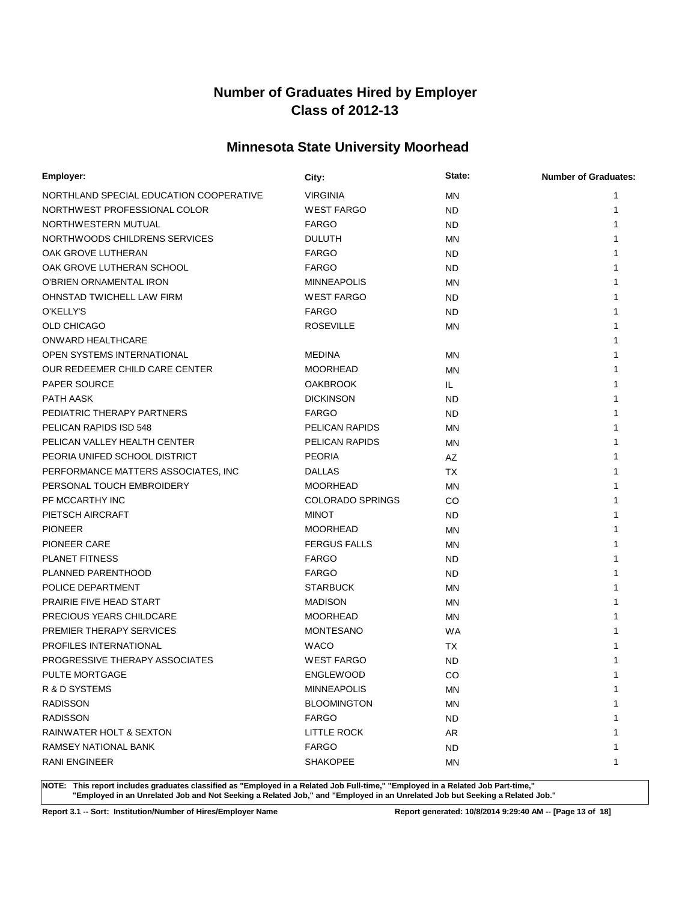# **Minnesota State University Moorhead**

| Employer:                               | City:                   | State:    | <b>Number of Graduates:</b> |
|-----------------------------------------|-------------------------|-----------|-----------------------------|
| NORTHLAND SPECIAL EDUCATION COOPERATIVE | <b>VIRGINIA</b>         | <b>MN</b> | 1                           |
| NORTHWEST PROFESSIONAL COLOR            | <b>WEST FARGO</b>       | ND.       | 1                           |
| NORTHWESTERN MUTUAL                     | <b>FARGO</b>            | <b>ND</b> | 1                           |
| NORTHWOODS CHILDRENS SERVICES           | <b>DULUTH</b>           | <b>MN</b> | 1                           |
| OAK GROVE LUTHERAN                      | <b>FARGO</b>            | ND.       | 1                           |
| OAK GROVE LUTHERAN SCHOOL               | <b>FARGO</b>            | ND.       |                             |
| O'BRIEN ORNAMENTAL IRON                 | <b>MINNEAPOLIS</b>      | MN        |                             |
| OHNSTAD TWICHELL LAW FIRM               | <b>WEST FARGO</b>       | <b>ND</b> | 1                           |
| O'KELLY'S                               | <b>FARGO</b>            | ND.       |                             |
| <b>OLD CHICAGO</b>                      | <b>ROSEVILLE</b>        | <b>MN</b> |                             |
| ONWARD HEALTHCARE                       |                         |           |                             |
| OPEN SYSTEMS INTERNATIONAL              | <b>MEDINA</b>           | <b>MN</b> |                             |
| OUR REDEEMER CHILD CARE CENTER          | <b>MOORHEAD</b>         | <b>MN</b> |                             |
| <b>PAPER SOURCE</b>                     | <b>OAKBROOK</b>         | IL.       |                             |
| PATH AASK                               | <b>DICKINSON</b>        | <b>ND</b> |                             |
| PEDIATRIC THERAPY PARTNERS              | <b>FARGO</b>            | <b>ND</b> |                             |
| PELICAN RAPIDS ISD 548                  | PELICAN RAPIDS          | <b>MN</b> |                             |
| PELICAN VALLEY HEALTH CENTER            | PELICAN RAPIDS          | <b>MN</b> | 1                           |
| PEORIA UNIFED SCHOOL DISTRICT           | <b>PEORIA</b>           | AZ        | 1                           |
| PERFORMANCE MATTERS ASSOCIATES, INC     | <b>DALLAS</b>           | <b>TX</b> | 1                           |
| PERSONAL TOUCH EMBROIDERY               | <b>MOORHEAD</b>         | MN        | 1                           |
| PF MCCARTHY INC                         | <b>COLORADO SPRINGS</b> | CO        |                             |
| PIETSCH AIRCRAFT                        | <b>MINOT</b>            | <b>ND</b> |                             |
| <b>PIONEER</b>                          | <b>MOORHEAD</b>         | <b>MN</b> |                             |
| <b>PIONEER CARE</b>                     | <b>FERGUS FALLS</b>     | <b>MN</b> |                             |
| <b>PLANET FITNESS</b>                   | <b>FARGO</b>            | <b>ND</b> | 1                           |
| PLANNED PARENTHOOD                      | <b>FARGO</b>            | <b>ND</b> | 1                           |
| POLICE DEPARTMENT                       | <b>STARBUCK</b>         | <b>MN</b> |                             |
| PRAIRIE FIVE HEAD START                 | <b>MADISON</b>          | MN        |                             |
| PRECIOUS YEARS CHILDCARE                | <b>MOORHEAD</b>         | MN        |                             |
| PREMIER THERAPY SERVICES                | <b>MONTESANO</b>        | WA        |                             |
| PROFILES INTERNATIONAL                  | <b>WACO</b>             | ТX        |                             |
| PROGRESSIVE THERAPY ASSOCIATES          | <b>WEST FARGO</b>       | ND        |                             |
| PULTE MORTGAGE                          | <b>ENGLEWOOD</b>        | CO        | 1                           |
| R & D SYSTEMS                           | <b>MINNEAPOLIS</b>      | ΜN        | 1                           |
| <b>RADISSON</b>                         | <b>BLOOMINGTON</b>      | MN        |                             |
| <b>RADISSON</b>                         | <b>FARGO</b>            | <b>ND</b> |                             |
| RAINWATER HOLT & SEXTON                 | <b>LITTLE ROCK</b>      | AR        |                             |
| RAMSEY NATIONAL BANK                    | <b>FARGO</b>            | ND.       | 1                           |
| <b>RANI ENGINEER</b>                    | <b>SHAKOPEE</b>         | MN        | 1                           |

**NOTE: This report includes graduates classified as "Employed in a Related Job Full-time," "Employed in a Related Job Part-time," "Employed in an Unrelated Job and Not Seeking a Related Job," and "Employed in an Unrelated Job but Seeking a Related Job."**

**Report 3.1 -- Sort: Institution/Number of Hires/Employer Name Report generated: 10/8/2014 9:29:40 AM -- [Page 13 of 18]**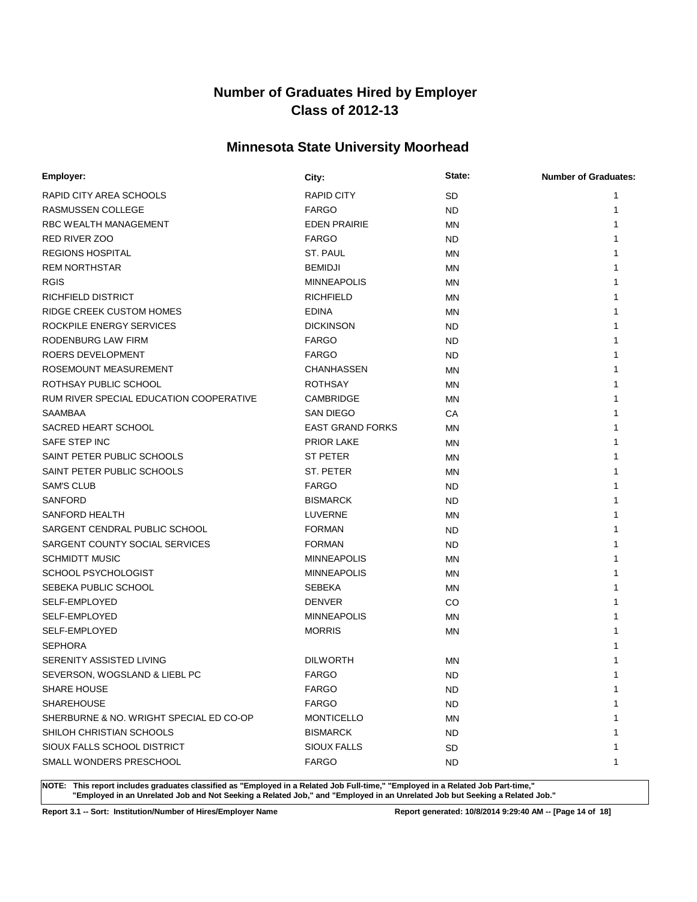# **Minnesota State University Moorhead**

| Employer:                               | City:                   | State:    | <b>Number of Graduates:</b> |
|-----------------------------------------|-------------------------|-----------|-----------------------------|
| RAPID CITY AREA SCHOOLS                 | <b>RAPID CITY</b>       | <b>SD</b> |                             |
| RASMUSSEN COLLEGE                       | <b>FARGO</b>            | <b>ND</b> |                             |
| <b>RBC WEALTH MANAGEMENT</b>            | <b>EDEN PRAIRIE</b>     | <b>MN</b> |                             |
| <b>RED RIVER ZOO</b>                    | <b>FARGO</b>            | <b>ND</b> |                             |
| <b>REGIONS HOSPITAL</b>                 | ST. PAUL                | <b>MN</b> |                             |
| <b>REM NORTHSTAR</b>                    | <b>BEMIDJI</b>          | <b>MN</b> |                             |
| <b>RGIS</b>                             | <b>MINNEAPOLIS</b>      | <b>MN</b> |                             |
| RICHFIELD DISTRICT                      | <b>RICHFIELD</b>        | <b>MN</b> |                             |
| RIDGE CREEK CUSTOM HOMES                | <b>EDINA</b>            | <b>MN</b> |                             |
| ROCKPILE ENERGY SERVICES                | <b>DICKINSON</b>        | <b>ND</b> |                             |
| RODENBURG LAW FIRM                      | <b>FARGO</b>            | <b>ND</b> |                             |
| ROERS DEVELOPMENT                       | <b>FARGO</b>            | <b>ND</b> |                             |
| ROSEMOUNT MEASUREMENT                   | <b>CHANHASSEN</b>       | MN        |                             |
| ROTHSAY PUBLIC SCHOOL                   | <b>ROTHSAY</b>          | MN        |                             |
| RUM RIVER SPECIAL EDUCATION COOPERATIVE | <b>CAMBRIDGE</b>        | MN        |                             |
| <b>SAAMBAA</b>                          | <b>SAN DIEGO</b>        | СA        |                             |
| SACRED HEART SCHOOL                     | <b>EAST GRAND FORKS</b> | MN        |                             |
| SAFE STEP INC                           | <b>PRIOR LAKE</b>       | <b>MN</b> |                             |
| SAINT PETER PUBLIC SCHOOLS              | <b>ST PETER</b>         | MN        |                             |
| SAINT PETER PUBLIC SCHOOLS              | ST. PETER               | <b>MN</b> |                             |
| <b>SAM'S CLUB</b>                       | <b>FARGO</b>            | <b>ND</b> |                             |
| <b>SANFORD</b>                          | <b>BISMARCK</b>         | <b>ND</b> |                             |
| SANFORD HEALTH                          | LUVERNE                 | <b>MN</b> |                             |
| SARGENT CENDRAL PUBLIC SCHOOL           | <b>FORMAN</b>           | <b>ND</b> |                             |
| SARGENT COUNTY SOCIAL SERVICES          | <b>FORMAN</b>           | <b>ND</b> |                             |
| <b>SCHMIDTT MUSIC</b>                   | <b>MINNEAPOLIS</b>      | <b>MN</b> |                             |
| SCHOOL PSYCHOLOGIST                     | <b>MINNEAPOLIS</b>      | <b>MN</b> |                             |
| SEBEKA PUBLIC SCHOOL                    | <b>SEBEKA</b>           | <b>MN</b> |                             |
| SELF-EMPLOYED                           | <b>DENVER</b>           | CO        |                             |
| SELF-EMPLOYED                           | <b>MINNEAPOLIS</b>      | <b>MN</b> |                             |
| SELF-EMPLOYED                           | <b>MORRIS</b>           | <b>MN</b> |                             |
| <b>SEPHORA</b>                          |                         |           |                             |
| SERENITY ASSISTED LIVING                | <b>DILWORTH</b>         | MN        |                             |
| SEVERSON, WOGSLAND & LIEBL PC           | <b>FARGO</b>            | <b>ND</b> | 1                           |
| SHARE HOUSE                             | <b>FARGO</b>            | <b>ND</b> | 1                           |
| <b>SHAREHOUSE</b>                       | <b>FARGO</b>            | <b>ND</b> |                             |
| SHERBURNE & NO. WRIGHT SPECIAL ED CO-OP | <b>MONTICELLO</b>       | MN        |                             |
| SHILOH CHRISTIAN SCHOOLS                | <b>BISMARCK</b>         | <b>ND</b> |                             |
| SIOUX FALLS SCHOOL DISTRICT             | <b>SIOUX FALLS</b>      | SD        |                             |
| SMALL WONDERS PRESCHOOL                 | <b>FARGO</b>            | <b>ND</b> |                             |

**NOTE: This report includes graduates classified as "Employed in a Related Job Full-time," "Employed in a Related Job Part-time," "Employed in an Unrelated Job and Not Seeking a Related Job," and "Employed in an Unrelated Job but Seeking a Related Job."**

**Report 3.1 -- Sort: Institution/Number of Hires/Employer Name Report generated: 10/8/2014 9:29:40 AM -- [Page 14 of 18]**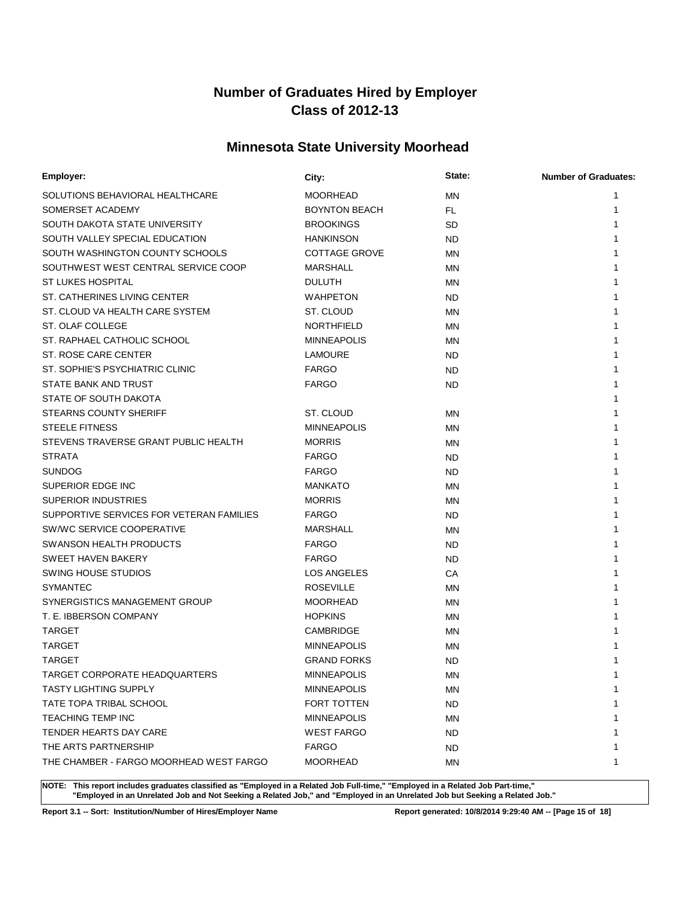# **Minnesota State University Moorhead**

| Employer:                                | City:                | State:    | <b>Number of Graduates:</b> |
|------------------------------------------|----------------------|-----------|-----------------------------|
| SOLUTIONS BEHAVIORAL HEALTHCARE          | MOORHEAD             | <b>MN</b> | 1                           |
| SOMERSET ACADEMY                         | <b>BOYNTON BEACH</b> | FL.       |                             |
| SOUTH DAKOTA STATE UNIVERSITY            | <b>BROOKINGS</b>     | <b>SD</b> |                             |
| SOUTH VALLEY SPECIAL EDUCATION           | <b>HANKINSON</b>     | <b>ND</b> |                             |
| SOUTH WASHINGTON COUNTY SCHOOLS          | <b>COTTAGE GROVE</b> | MN        |                             |
| SOUTHWEST WEST CENTRAL SERVICE COOP      | <b>MARSHALL</b>      | MN        |                             |
| <b>ST LUKES HOSPITAL</b>                 | <b>DULUTH</b>        | MN        |                             |
| ST. CATHERINES LIVING CENTER             | <b>WAHPETON</b>      | ND.       |                             |
| ST. CLOUD VA HEALTH CARE SYSTEM          | ST. CLOUD            | <b>MN</b> |                             |
| ST. OLAF COLLEGE                         | <b>NORTHFIELD</b>    | ΜN        |                             |
| ST. RAPHAEL CATHOLIC SCHOOL              | <b>MINNEAPOLIS</b>   | <b>MN</b> |                             |
| ST. ROSE CARE CENTER                     | <b>LAMOURE</b>       | <b>ND</b> |                             |
| ST. SOPHIE'S PSYCHIATRIC CLINIC          | <b>FARGO</b>         | <b>ND</b> |                             |
| STATE BANK AND TRUST                     | <b>FARGO</b>         | <b>ND</b> |                             |
| STATE OF SOUTH DAKOTA                    |                      |           |                             |
| <b>STEARNS COUNTY SHERIFF</b>            | ST. CLOUD            | <b>MN</b> |                             |
| <b>STEELE FITNESS</b>                    | <b>MINNEAPOLIS</b>   | <b>MN</b> |                             |
| STEVENS TRAVERSE GRANT PUBLIC HEALTH     | <b>MORRIS</b>        | ΜN        |                             |
| <b>STRATA</b>                            | <b>FARGO</b>         | <b>ND</b> |                             |
| <b>SUNDOG</b>                            | <b>FARGO</b>         | <b>ND</b> |                             |
| SUPERIOR EDGE INC                        | <b>MANKATO</b>       | <b>MN</b> |                             |
| <b>SUPERIOR INDUSTRIES</b>               | <b>MORRIS</b>        | MN        |                             |
| SUPPORTIVE SERVICES FOR VETERAN FAMILIES | <b>FARGO</b>         | <b>ND</b> |                             |
| SW/WC SERVICE COOPERATIVE                | MARSHALL             | <b>MN</b> |                             |
| <b>SWANSON HEALTH PRODUCTS</b>           | <b>FARGO</b>         | <b>ND</b> |                             |
| SWEET HAVEN BAKERY                       | <b>FARGO</b>         | <b>ND</b> |                             |
| <b>SWING HOUSE STUDIOS</b>               | <b>LOS ANGELES</b>   | СA        |                             |
| <b>SYMANTEC</b>                          | <b>ROSEVILLE</b>     | MN        |                             |
| SYNERGISTICS MANAGEMENT GROUP            | <b>MOORHEAD</b>      | MN        |                             |
| T. E. IBBERSON COMPANY                   | <b>HOPKINS</b>       | ΜN        |                             |
| <b>TARGET</b>                            | CAMBRIDGE            | MN        |                             |
| <b>TARGET</b>                            | <b>MINNEAPOLIS</b>   | ΜN        |                             |
| <b>TARGET</b>                            | <b>GRAND FORKS</b>   | <b>ND</b> |                             |
| TARGET CORPORATE HEADQUARTERS            | <b>MINNEAPOLIS</b>   | <b>MN</b> |                             |
| <b>TASTY LIGHTING SUPPLY</b>             | <b>MINNEAPOLIS</b>   | ΜN        | 1                           |
| TATE TOPA TRIBAL SCHOOL                  | FORT TOTTEN          | <b>ND</b> |                             |
| <b>TEACHING TEMP INC</b>                 | <b>MINNEAPOLIS</b>   | ΜN        |                             |
| TENDER HEARTS DAY CARE                   | <b>WEST FARGO</b>    | ND        |                             |
| THE ARTS PARTNERSHIP                     | FARGO                | <b>ND</b> |                             |
| THE CHAMBER - FARGO MOORHEAD WEST FARGO  | MOORHEAD             | ΜN        | 1                           |

**NOTE: This report includes graduates classified as "Employed in a Related Job Full-time," "Employed in a Related Job Part-time," "Employed in an Unrelated Job and Not Seeking a Related Job," and "Employed in an Unrelated Job but Seeking a Related Job."**

**Report 3.1 -- Sort: Institution/Number of Hires/Employer Name Report generated: 10/8/2014 9:29:40 AM -- [Page 15 of 18]**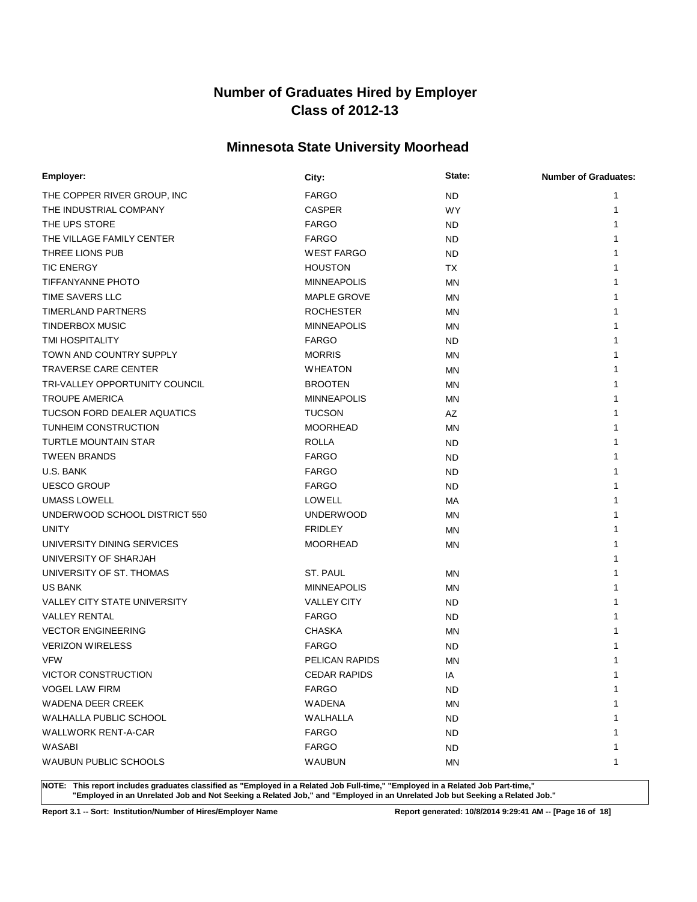# **Minnesota State University Moorhead**

| Employer:                           | City:               | State:    | <b>Number of Graduates:</b> |
|-------------------------------------|---------------------|-----------|-----------------------------|
| THE COPPER RIVER GROUP, INC         | <b>FARGO</b>        | <b>ND</b> | 1                           |
| THE INDUSTRIAL COMPANY              | <b>CASPER</b>       | <b>WY</b> | 1                           |
| THE UPS STORE                       | <b>FARGO</b>        | ND.       |                             |
| THE VILLAGE FAMILY CENTER           | <b>FARGO</b>        | <b>ND</b> |                             |
| THREE LIONS PUB                     | <b>WEST FARGO</b>   | <b>ND</b> |                             |
| <b>TIC ENERGY</b>                   | <b>HOUSTON</b>      | <b>TX</b> |                             |
| <b>TIFFANYANNE PHOTO</b>            | <b>MINNEAPOLIS</b>  | MN        |                             |
| TIME SAVERS LLC                     | <b>MAPLE GROVE</b>  | <b>MN</b> |                             |
| <b>TIMERLAND PARTNERS</b>           | <b>ROCHESTER</b>    | <b>MN</b> |                             |
| <b>TINDERBOX MUSIC</b>              | <b>MINNEAPOLIS</b>  | <b>MN</b> |                             |
| TMI HOSPITALITY                     | <b>FARGO</b>        | ND.       |                             |
| TOWN AND COUNTRY SUPPLY             | <b>MORRIS</b>       | <b>MN</b> |                             |
| <b>TRAVERSE CARE CENTER</b>         | <b>WHEATON</b>      | ΜN        |                             |
| TRI-VALLEY OPPORTUNITY COUNCIL      | <b>BROOTEN</b>      | MN        |                             |
| <b>TROUPE AMERICA</b>               | <b>MINNEAPOLIS</b>  | MN        |                             |
| <b>TUCSON FORD DEALER AQUATICS</b>  | <b>TUCSON</b>       | AZ        |                             |
| TUNHEIM CONSTRUCTION                | <b>MOORHEAD</b>     | MN        |                             |
| <b>TURTLE MOUNTAIN STAR</b>         | <b>ROLLA</b>        | <b>ND</b> | 1                           |
| <b>TWEEN BRANDS</b>                 | <b>FARGO</b>        | <b>ND</b> |                             |
| U.S. BANK                           | <b>FARGO</b>        | <b>ND</b> | 1                           |
| <b>UESCO GROUP</b>                  | <b>FARGO</b>        | <b>ND</b> | 1                           |
| <b>UMASS LOWELL</b>                 | <b>LOWELL</b>       | МA        | 1                           |
| UNDERWOOD SCHOOL DISTRICT 550       | <b>UNDERWOOD</b>    | MN        | 1                           |
| <b>UNITY</b>                        | <b>FRIDLEY</b>      | <b>MN</b> | 1                           |
| UNIVERSITY DINING SERVICES          | <b>MOORHEAD</b>     | ΜN        |                             |
| UNIVERSITY OF SHARJAH               |                     |           |                             |
| UNIVERSITY OF ST. THOMAS            | ST. PAUL            | <b>MN</b> |                             |
| <b>US BANK</b>                      | <b>MINNEAPOLIS</b>  | <b>MN</b> |                             |
| <b>VALLEY CITY STATE UNIVERSITY</b> | <b>VALLEY CITY</b>  | <b>ND</b> | 1                           |
| <b>VALLEY RENTAL</b>                | <b>FARGO</b>        | <b>ND</b> |                             |
| <b>VECTOR ENGINEERING</b>           | <b>CHASKA</b>       | ΜN        |                             |
| <b>VERIZON WIRELESS</b>             | <b>FARGO</b>        | <b>ND</b> |                             |
| <b>VFW</b>                          | PELICAN RAPIDS      | MN        |                             |
| VICTOR CONSTRUCTION                 | <b>CEDAR RAPIDS</b> | ΙA        | 1                           |
| <b>VOGEL LAW FIRM</b>               | <b>FARGO</b>        | ND.       | 1                           |
| <b>WADENA DEER CREEK</b>            | <b>WADENA</b>       | <b>MN</b> | 1                           |
| WALHALLA PUBLIC SCHOOL              | WALHALLA            | ND.       | 1                           |
| <b>WALLWORK RENT-A-CAR</b>          | <b>FARGO</b>        | <b>ND</b> | 1                           |
| WASABI                              | <b>FARGO</b>        | ND.       | 1                           |
| WAUBUN PUBLIC SCHOOLS               | <b>WAUBUN</b>       | MN        | 1                           |

**NOTE: This report includes graduates classified as "Employed in a Related Job Full-time," "Employed in a Related Job Part-time," "Employed in an Unrelated Job and Not Seeking a Related Job," and "Employed in an Unrelated Job but Seeking a Related Job."**

**Report 3.1 -- Sort: Institution/Number of Hires/Employer Name Report generated: 10/8/2014 9:29:41 AM -- [Page 16 of 18]**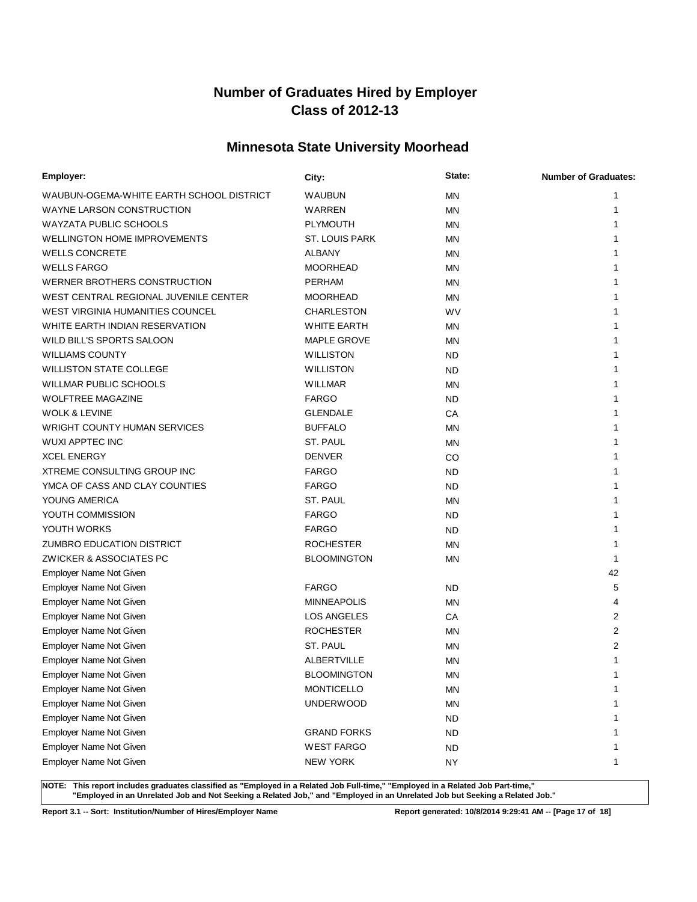# **Minnesota State University Moorhead**

| Employer:                                | City:                 | State:    | <b>Number of Graduates:</b> |
|------------------------------------------|-----------------------|-----------|-----------------------------|
| WAUBUN-OGEMA-WHITE EARTH SCHOOL DISTRICT | WAUBUN                | <b>MN</b> | 1                           |
| <b>WAYNE LARSON CONSTRUCTION</b>         | WARREN                | <b>MN</b> | 1                           |
| <b>WAYZATA PUBLIC SCHOOLS</b>            | <b>PLYMOUTH</b>       | <b>MN</b> | 1                           |
| <b>WELLINGTON HOME IMPROVEMENTS</b>      | <b>ST. LOUIS PARK</b> | <b>MN</b> | 1                           |
| <b>WELLS CONCRETE</b>                    | <b>ALBANY</b>         | MN        | 1                           |
| <b>WELLS FARGO</b>                       | <b>MOORHEAD</b>       | MN        |                             |
| WERNER BROTHERS CONSTRUCTION             | <b>PERHAM</b>         | MN        |                             |
| WEST CENTRAL REGIONAL JUVENILE CENTER    | <b>MOORHEAD</b>       | <b>MN</b> | 1                           |
| <b>WEST VIRGINIA HUMANITIES COUNCEL</b>  | <b>CHARLESTON</b>     | <b>WV</b> |                             |
| WHITE EARTH INDIAN RESERVATION           | <b>WHITE EARTH</b>    | <b>MN</b> |                             |
| WILD BILL'S SPORTS SALOON                | <b>MAPLE GROVE</b>    | <b>MN</b> |                             |
| <b>WILLIAMS COUNTY</b>                   | <b>WILLISTON</b>      | <b>ND</b> |                             |
| <b>WILLISTON STATE COLLEGE</b>           | <b>WILLISTON</b>      | <b>ND</b> |                             |
| <b>WILLMAR PUBLIC SCHOOLS</b>            | WILLMAR               | <b>MN</b> |                             |
| <b>WOLFTREE MAGAZINE</b>                 | <b>FARGO</b>          | <b>ND</b> |                             |
| <b>WOLK &amp; LEVINE</b>                 | <b>GLENDALE</b>       | СA        | 1                           |
| <b>WRIGHT COUNTY HUMAN SERVICES</b>      | <b>BUFFALO</b>        | <b>MN</b> |                             |
| <b>WUXI APPTEC INC</b>                   | ST. PAUL              | <b>MN</b> | 1                           |
| <b>XCEL ENERGY</b>                       | <b>DENVER</b>         | CO        | 1                           |
| <b>XTREME CONSULTING GROUP INC</b>       | <b>FARGO</b>          | ND        | 1                           |
| YMCA OF CASS AND CLAY COUNTIES           | <b>FARGO</b>          | <b>ND</b> | 1                           |
| YOUNG AMERICA                            | ST. PAUL              | MN        | 1                           |
| YOUTH COMMISSION                         | <b>FARGO</b>          | <b>ND</b> |                             |
| YOUTH WORKS                              | <b>FARGO</b>          | ND        | 1                           |
| <b>ZUMBRO EDUCATION DISTRICT</b>         | <b>ROCHESTER</b>      | <b>MN</b> | 1                           |
| ZWICKER & ASSOCIATES PC                  | <b>BLOOMINGTON</b>    | <b>MN</b> | 1                           |
| Employer Name Not Given                  |                       |           | 42                          |
| Employer Name Not Given                  | <b>FARGO</b>          | <b>ND</b> | 5                           |
| Employer Name Not Given                  | <b>MINNEAPOLIS</b>    | MN        | 4                           |
| Employer Name Not Given                  | LOS ANGELES           | СA        | 2                           |
| Employer Name Not Given                  | <b>ROCHESTER</b>      | MN        | 2                           |
| Employer Name Not Given                  | <b>ST. PAUL</b>       | <b>MN</b> | 2                           |
| Employer Name Not Given                  | <b>ALBERTVILLE</b>    | MN        | 1                           |
| Employer Name Not Given                  | <b>BLOOMINGTON</b>    | MN        | 1                           |
| Employer Name Not Given                  | <b>MONTICELLO</b>     | ΜN        | 1                           |
| Employer Name Not Given                  | <b>UNDERWOOD</b>      | <b>MN</b> | 1                           |
| Employer Name Not Given                  |                       | <b>ND</b> | 1                           |
| Employer Name Not Given                  | <b>GRAND FORKS</b>    | <b>ND</b> |                             |
| Employer Name Not Given                  | <b>WEST FARGO</b>     | <b>ND</b> | 1                           |
| Employer Name Not Given                  | <b>NEW YORK</b>       | <b>NY</b> | 1                           |

**NOTE: This report includes graduates classified as "Employed in a Related Job Full-time," "Employed in a Related Job Part-time," "Employed in an Unrelated Job and Not Seeking a Related Job," and "Employed in an Unrelated Job but Seeking a Related Job."**

**Report 3.1 -- Sort: Institution/Number of Hires/Employer Name Report generated: 10/8/2014 9:29:41 AM -- [Page 17 of 18]**